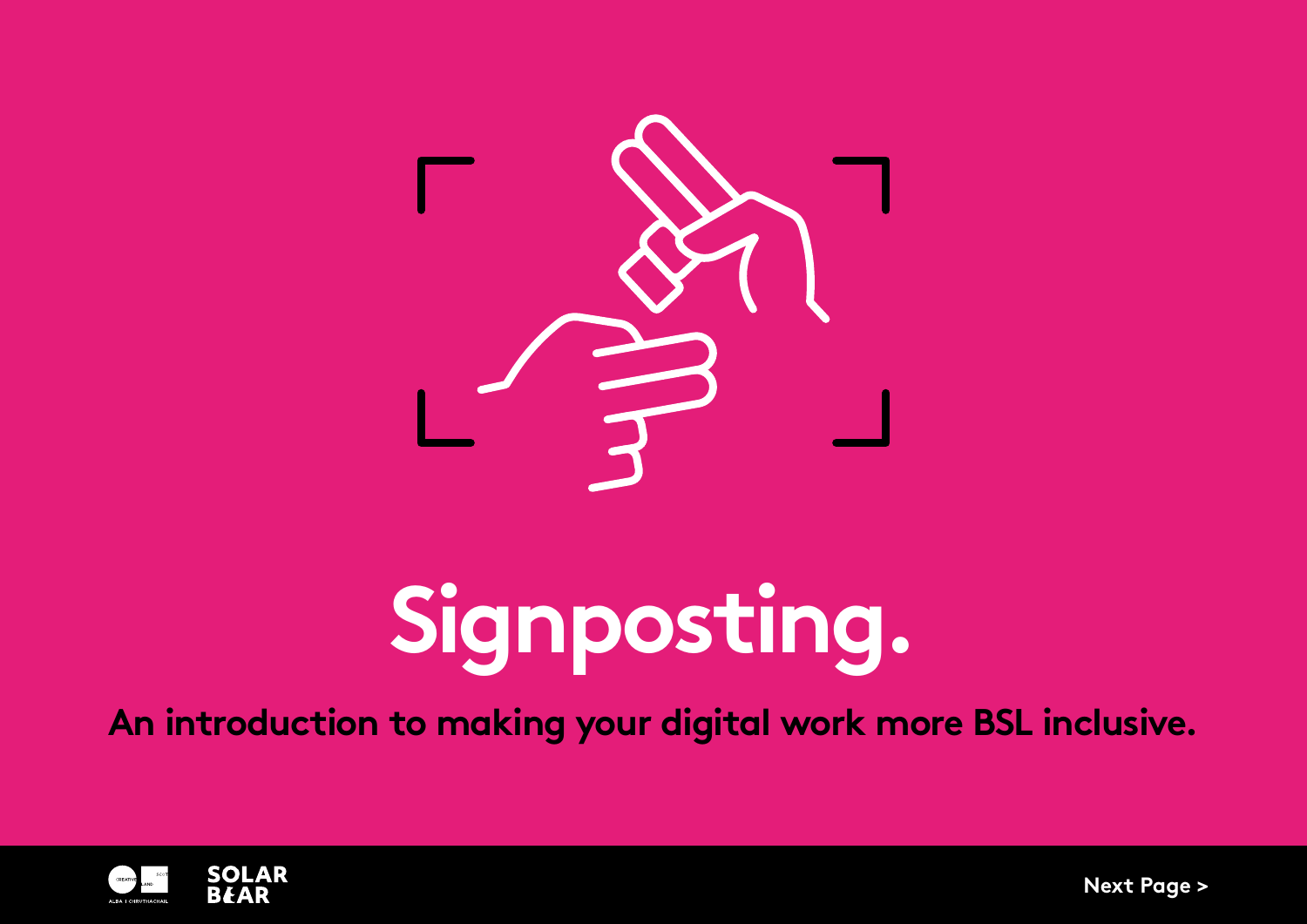

# **Signposting.**

**An introduction to making your digital work more BSL inclusive.**



**Next Page >**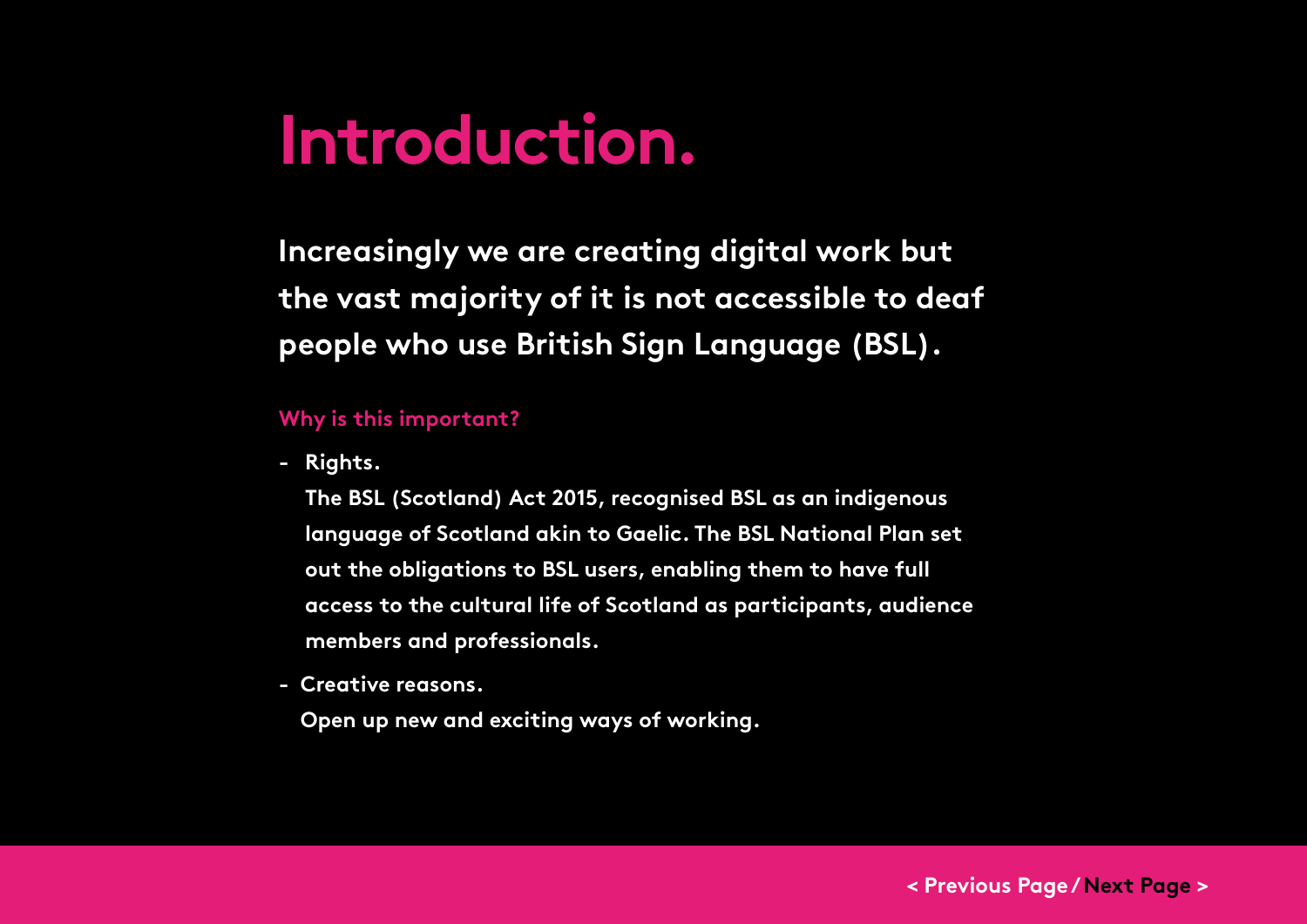## **Introduction.**

**Increasingly we are creating digital work but the vast majority of it is not accessible to deaf people who use British Sign Language (BSL).**

#### **Why is this important?**

**- Rights.** 

**The BSL (Scotland) Act 2015, recognised BSL as an indigenous language of Scotland akin to Gaelic. The BSL National Plan set out the obligations to BSL users, enabling them to have full access to the cultural life of Scotland as participants, audience members and professionals.** 

**- Creative reasons.** 

**Open up new and exciting ways of working.**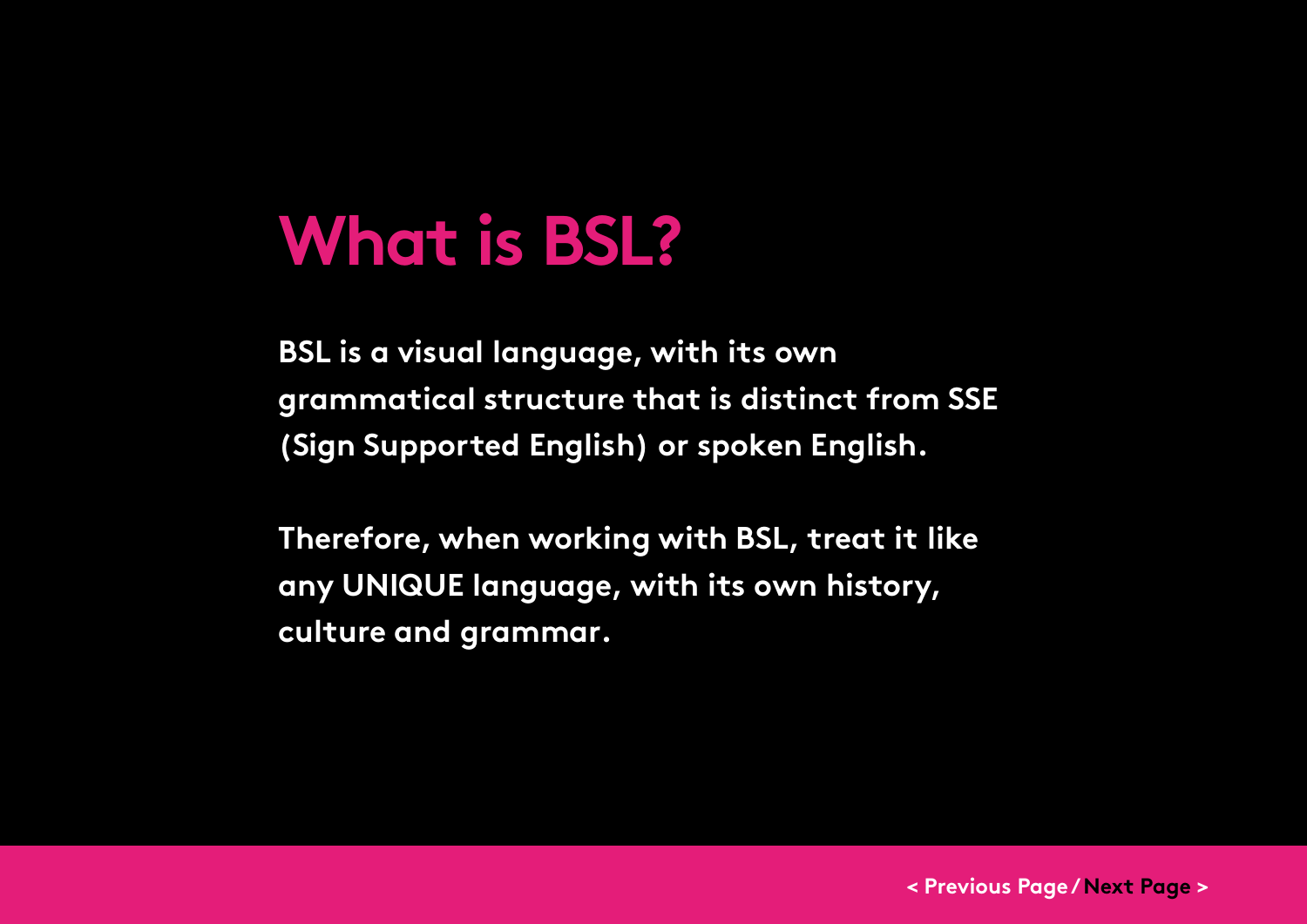## **What is BSL?**

**BSL is a visual language, with its own grammatical structure that is distinct from SSE (Sign Supported English) or spoken English.** 

**Therefore, when working with BSL, treat it like any UNIQUE language, with its own history, culture and grammar.**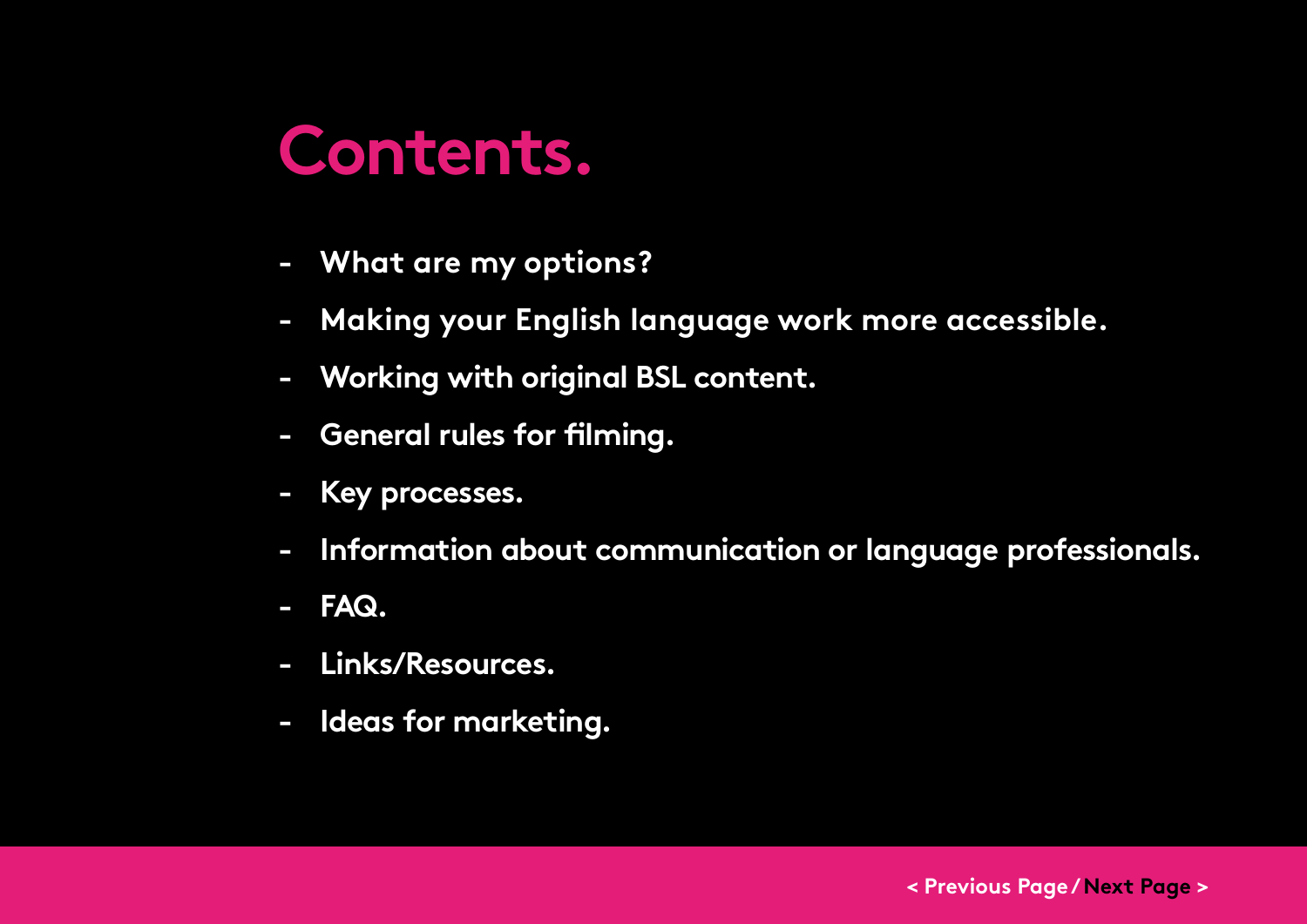## **Contents.**

- **- [What are my options?](#page-4-0)**
- **- [Making your English language work more accessible.](#page-9-0)**
- **- [Working with original BSL content.](#page-14-0)**
- **- [General rules for filming.](#page-18-0)**
- **- [Key processes.](#page-25-0)**
- **- [Information about communication or language professionals.](#page-28-0)**
- **- [FAQ.](#page-32-0)**
- **- [Links/Resources.](#page-35-0)**
- **- [Ideas for marketing.](#page-39-0)**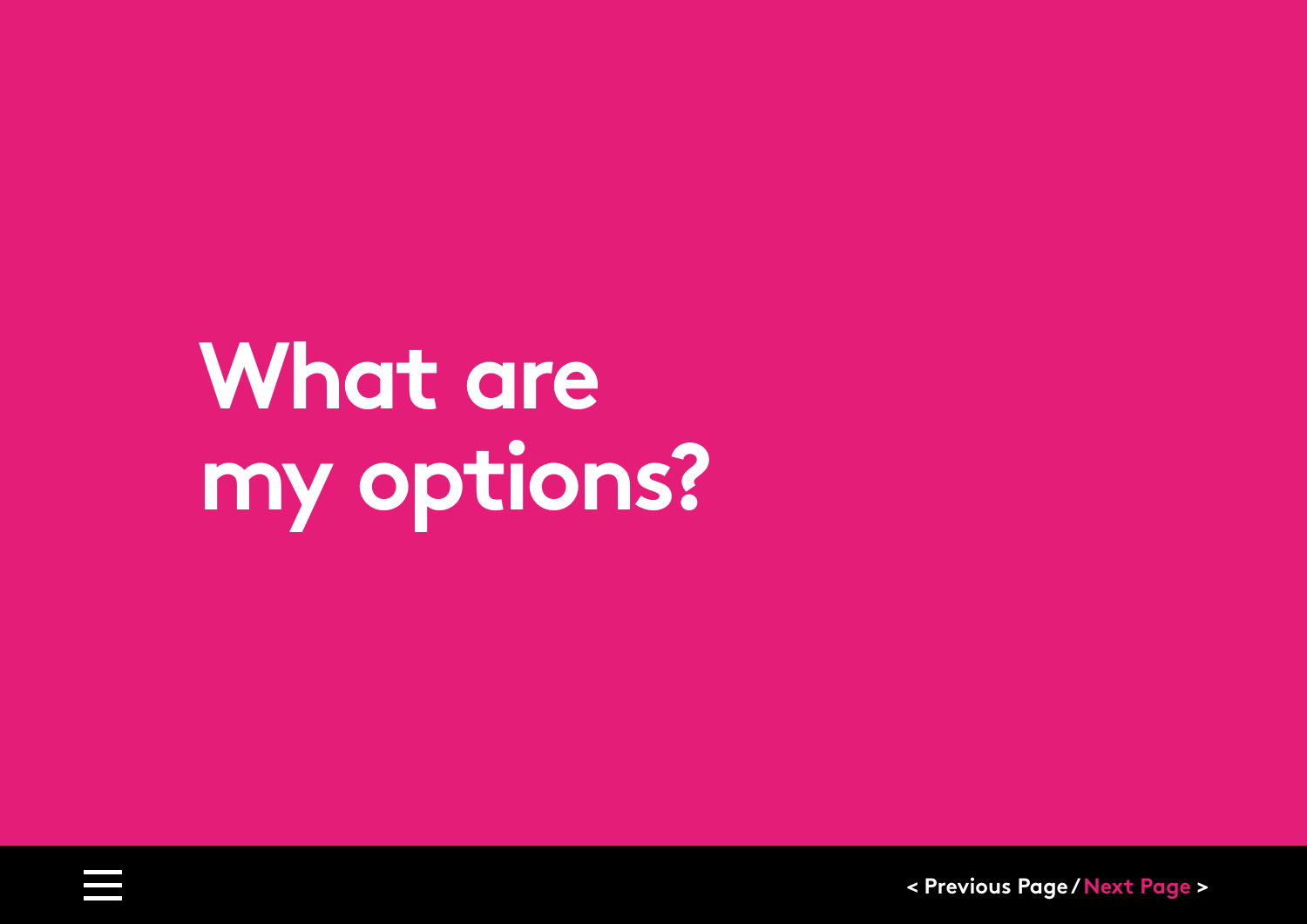# <span id="page-4-0"></span>**What are my options?**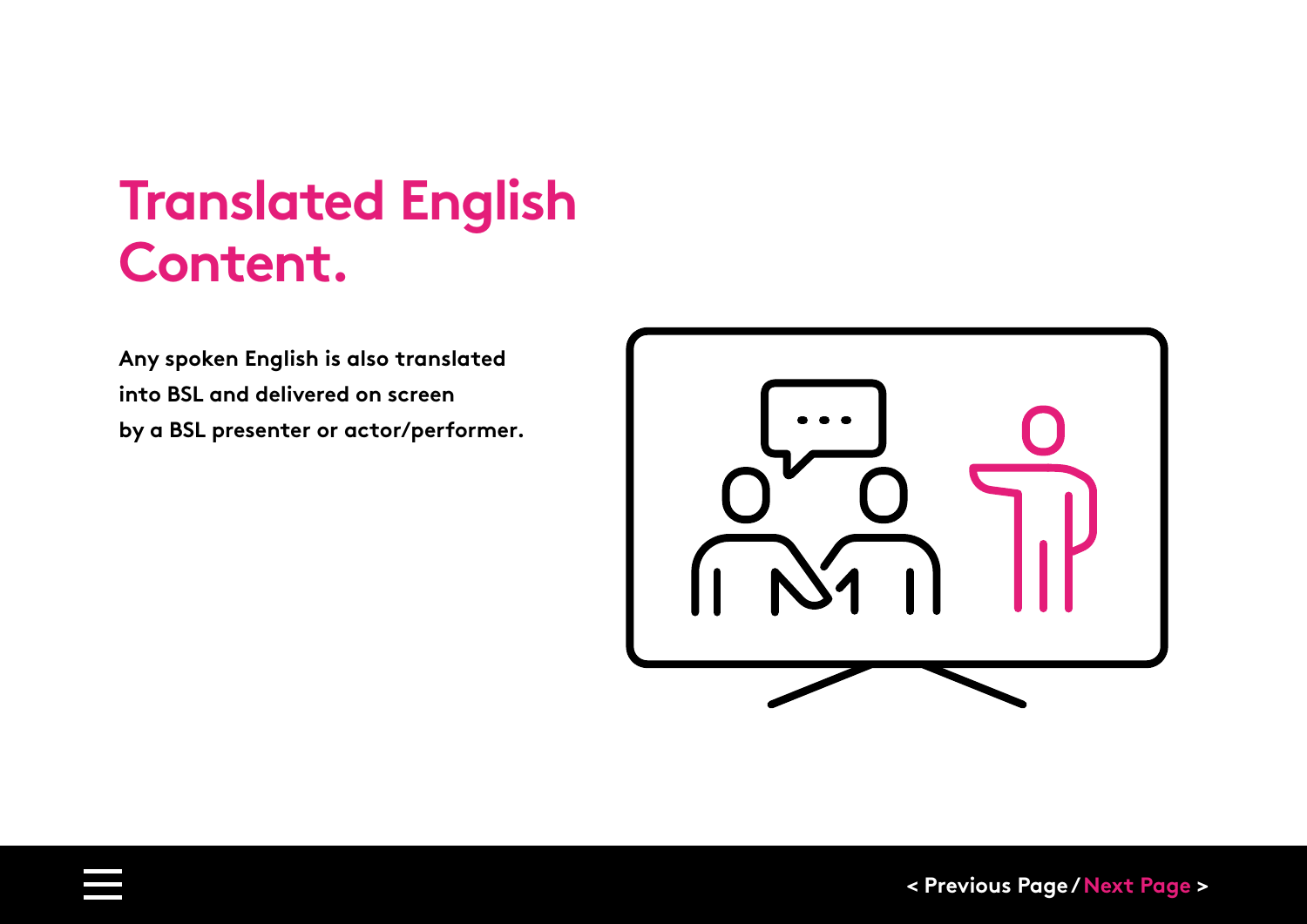### **Translated English Content.**

**Any spoken English is also translated into BSL and delivered on screen by a BSL presenter or actor/performer.**

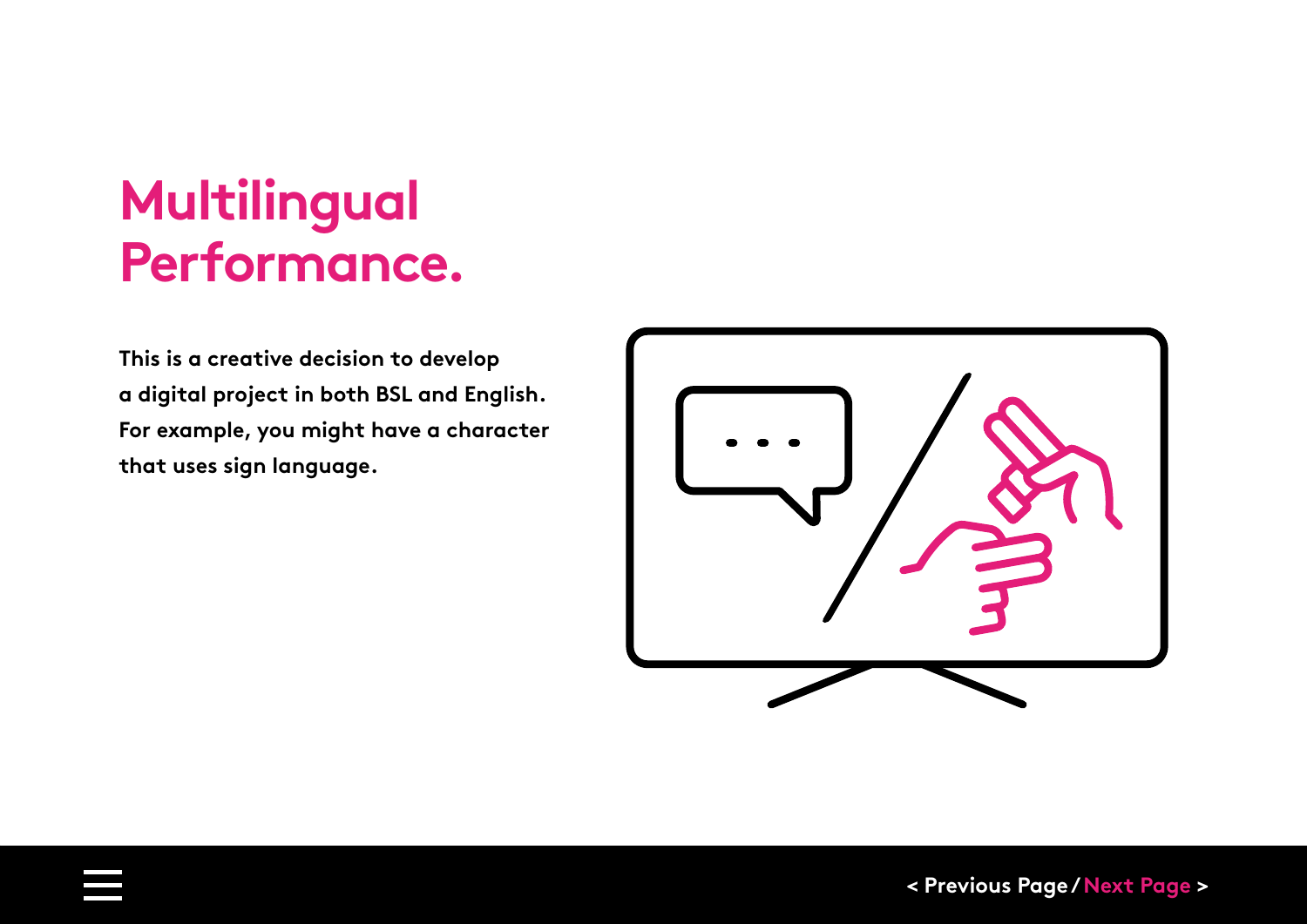## **Multilingual Performance.**

**This is a creative decision to develop a digital project in both BSL and English. For example, you might have a character that uses sign language.** 

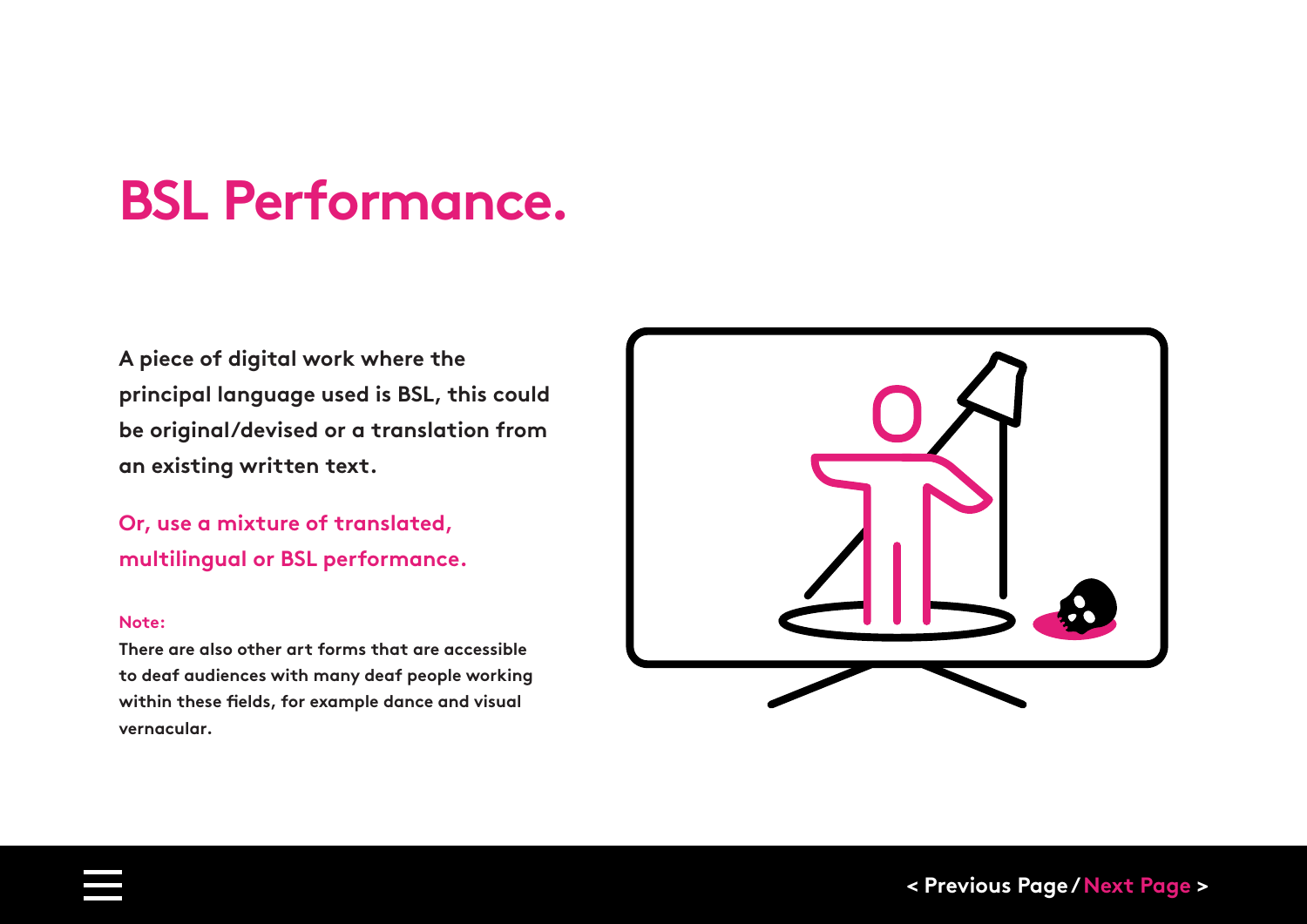### **BSL Performance.**

**A piece of digital work where the principal language used is BSL, this could be original/devised or a translation from an existing written text.**

**Or, use a mixture of translated, multilingual or BSL performance.**

#### **Note:**

**There are also other art forms that are accessible to deaf audiences with many deaf people working within these fields, for example dance and visual vernacular.** 

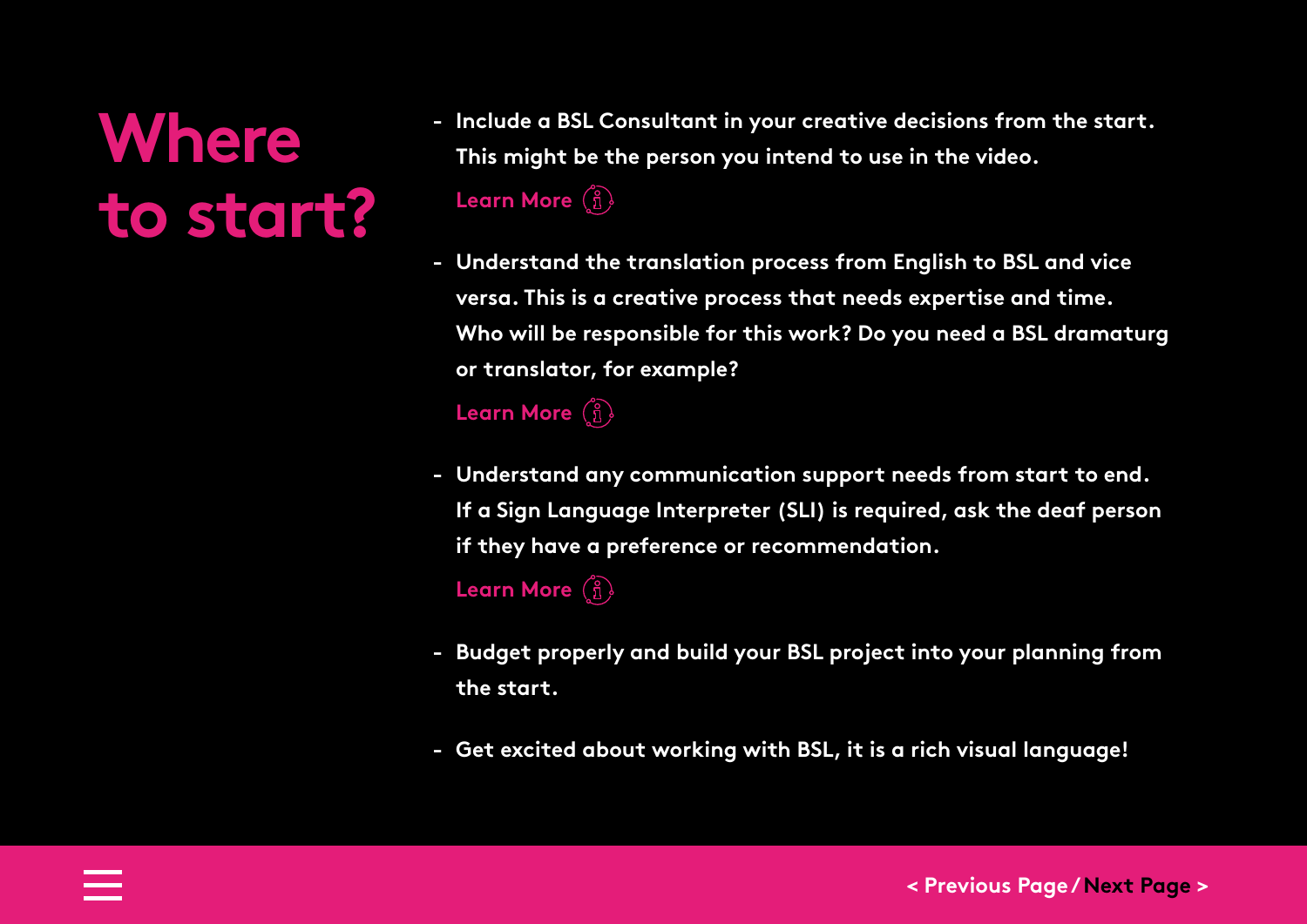# **Where to start?**

**- Include a BSL Consultant in your creative decisions from the start. This might be the person you intend to use in the video.**

**[Learn More](#page-27-0)**  $\binom{?}{1}$ 

**- Understand the translation process from English to BSL and vice versa. This is a creative process that needs expertise and time. Who will be responsible for this work? Do you need a BSL dramaturg or translator, for example?**

**[Learn More](#page-27-0)**

**- Understand any communication support needs from start to end. If a Sign Language Interpreter (SLI) is required, ask the deaf person if they have a preference or recommendation.**

**[Learn More](#page--1-0)** (i)

- **- Budget properly and build your BSL project into your planning from the start.**
- **- Get excited about working with BSL, it is a rich visual language!**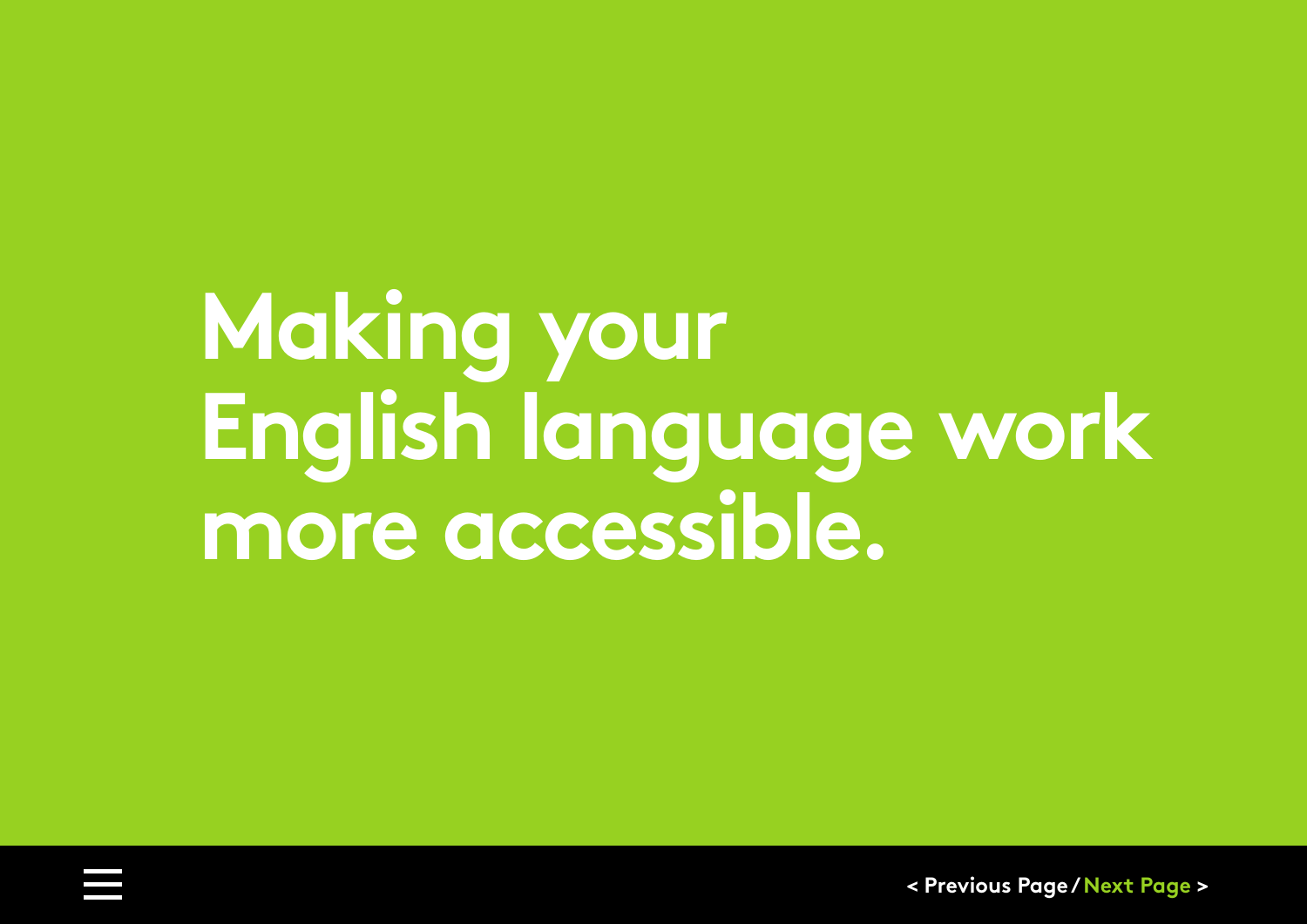# <span id="page-9-0"></span>**Making your English language work more accessible.**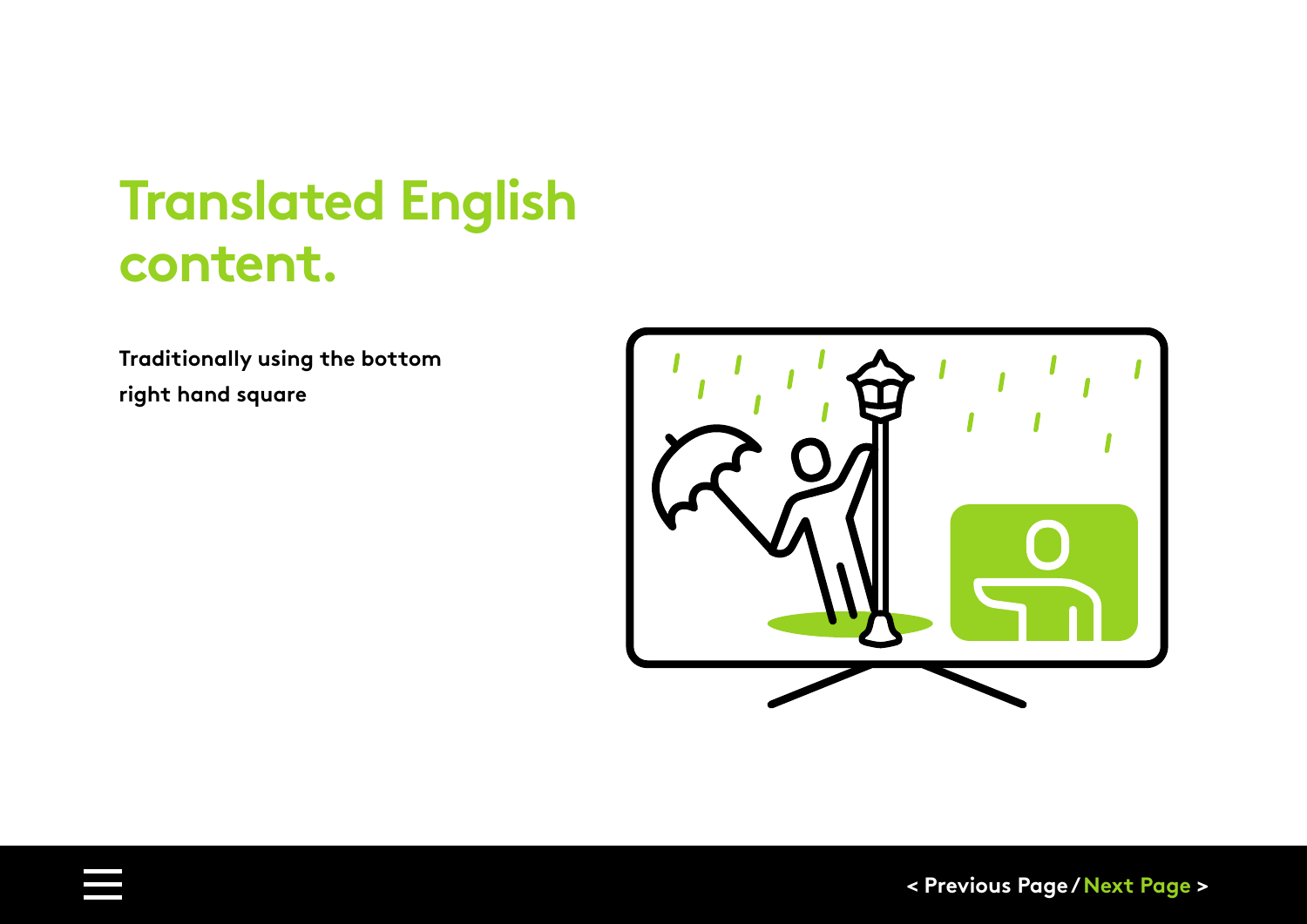### **Translated English content.**

**Traditionally using the bottom right hand square**

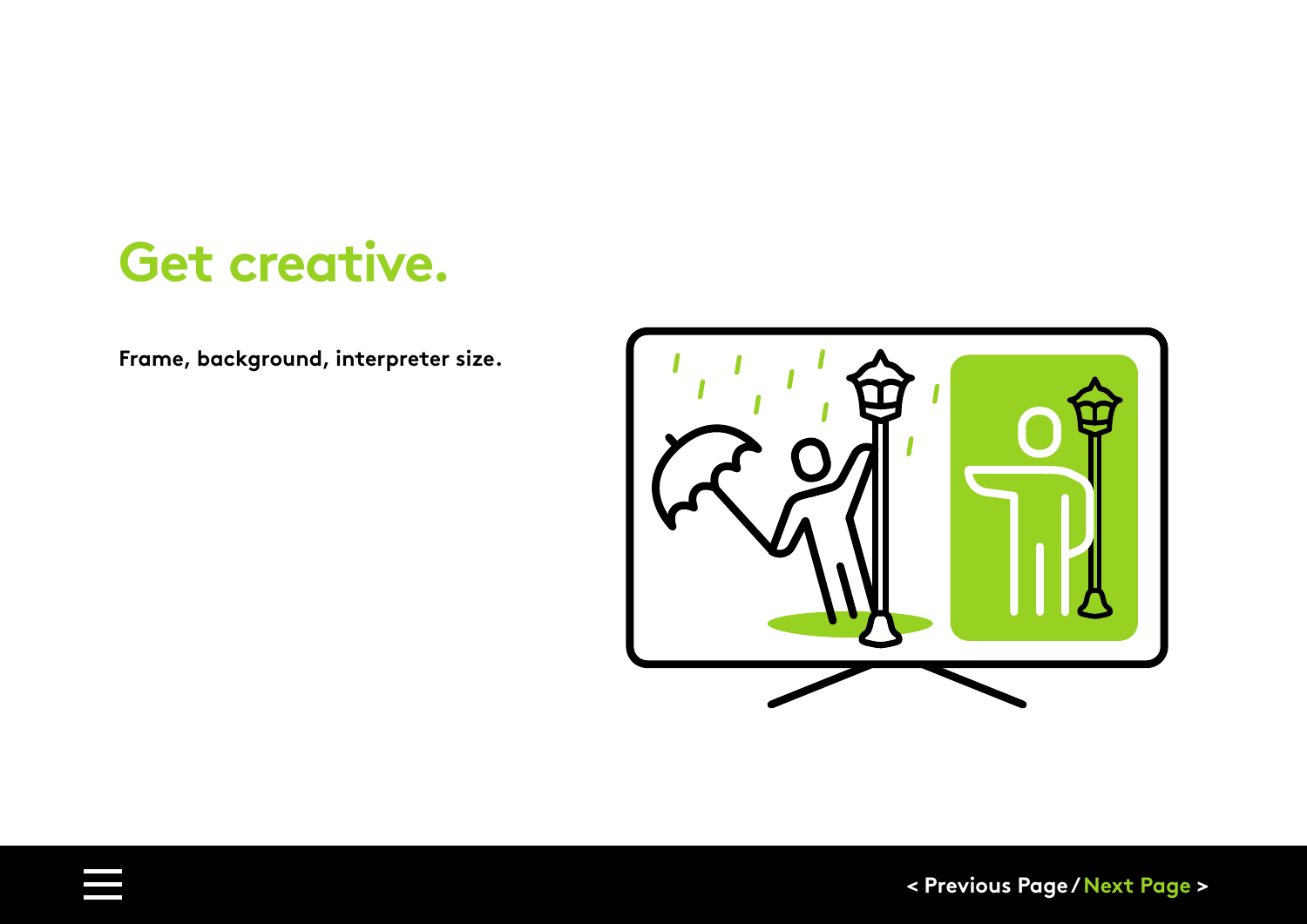### **Get creative.**

**Frame, background, interpreter size.**

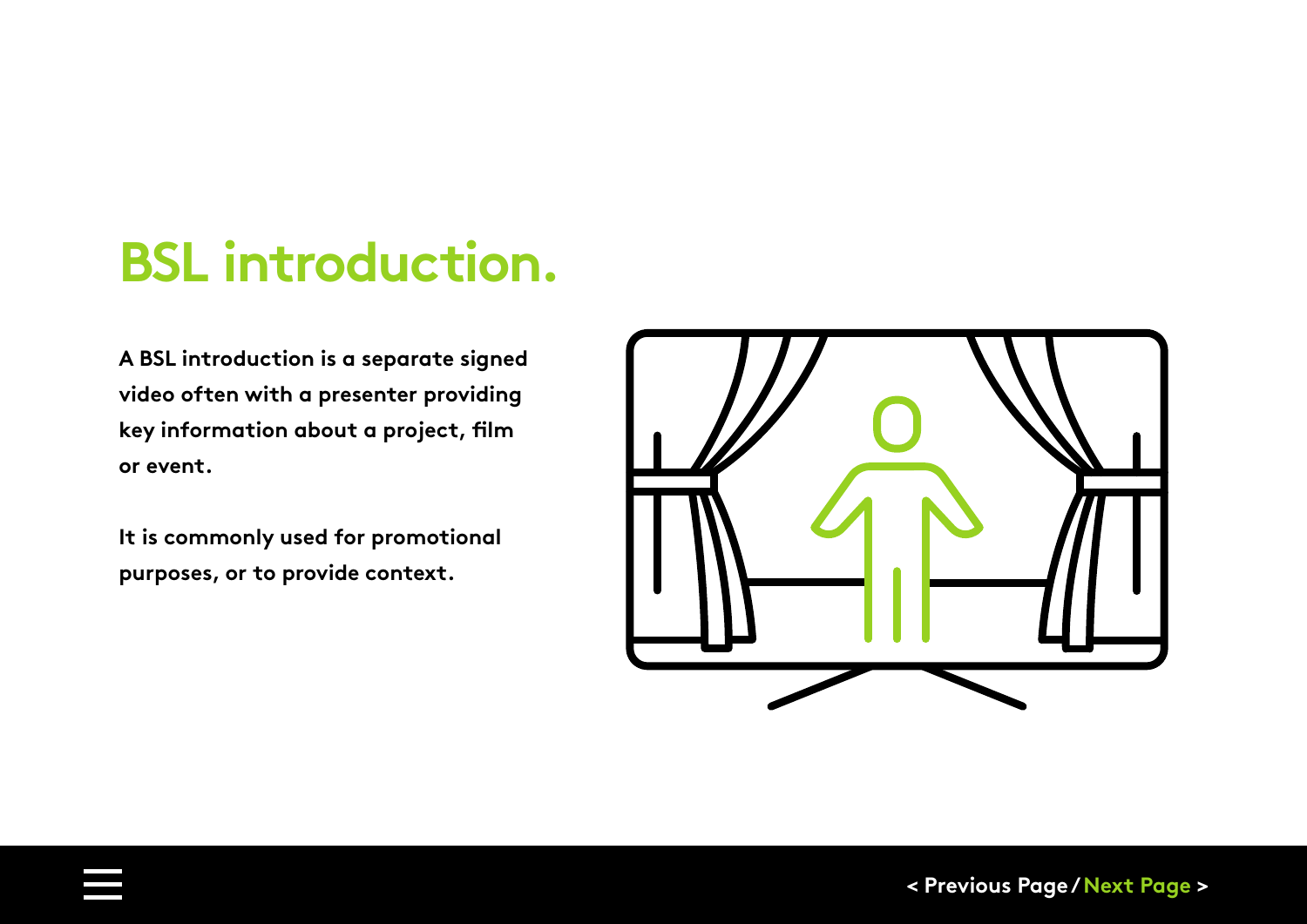## **BSL introduction.**

**A BSL introduction is a separate signed video often with a presenter providing key information about a project, film or event.** 

**It is commonly used for promotional purposes, or to provide context.**

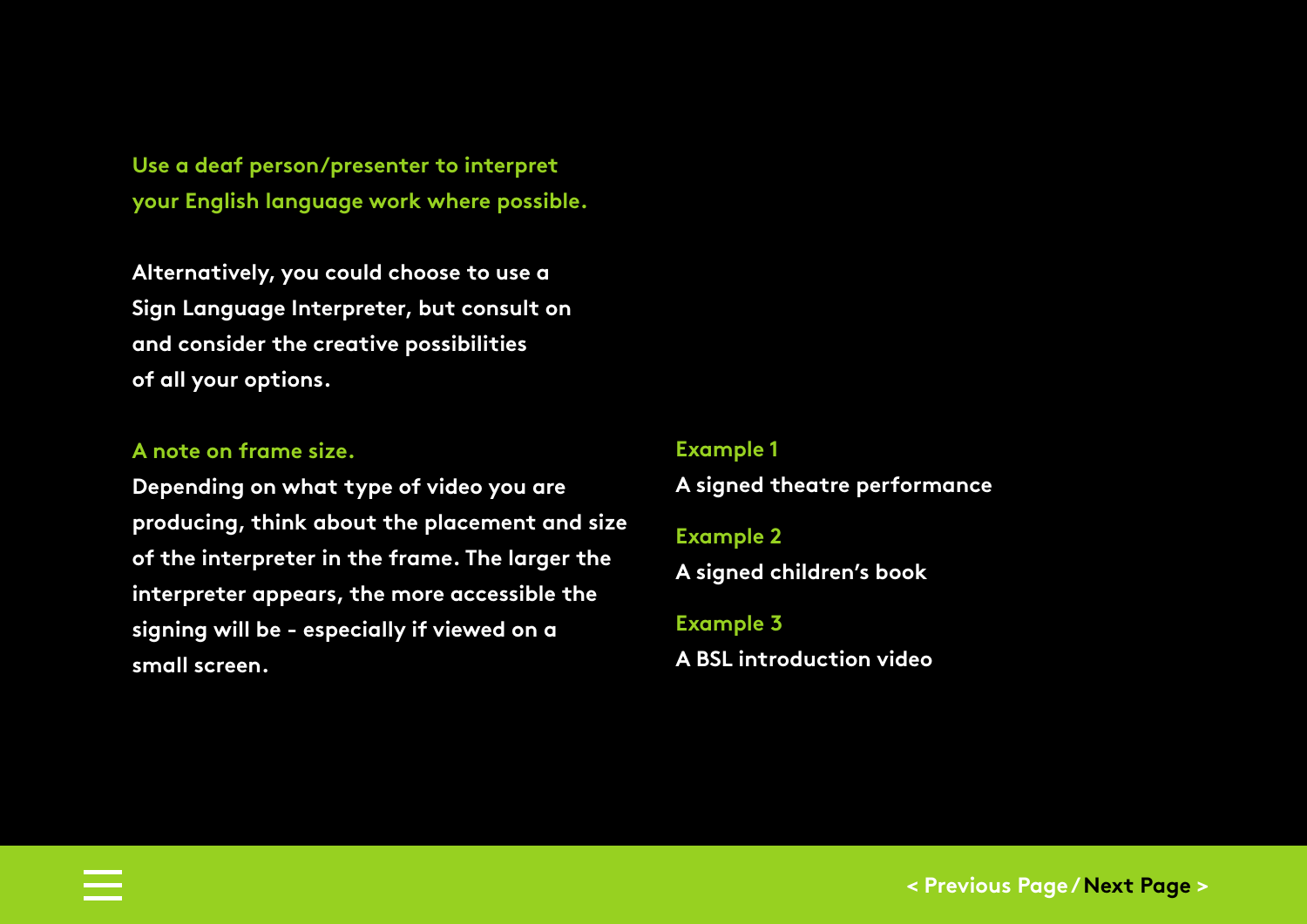**Use a deaf person/presenter to interpret your English language work where possible.** 

**Alternatively, you could choose to use a Sign Language Interpreter, but consult on and consider the creative possibilities of all your options.**

#### **A note on frame size.**

**Depending on what type of video you are producing, think about the placement and size of the interpreter in the frame. The larger the interpreter appears, the more accessible the signing will be - especially if viewed on a small screen.**

#### **Example 1**

**[A signed theatre performance](https://www.youtube.com/watch?v=yyHe9CVSo3I)**

#### **Example 2**

**[A signed children's book](https://www.youtube.com/watch?v=NliT3p7GhQY)**

#### **Example 3**

**[A BSL introduction video](https://www.youtube.com/watch?v=5ENSCBfRuqk)**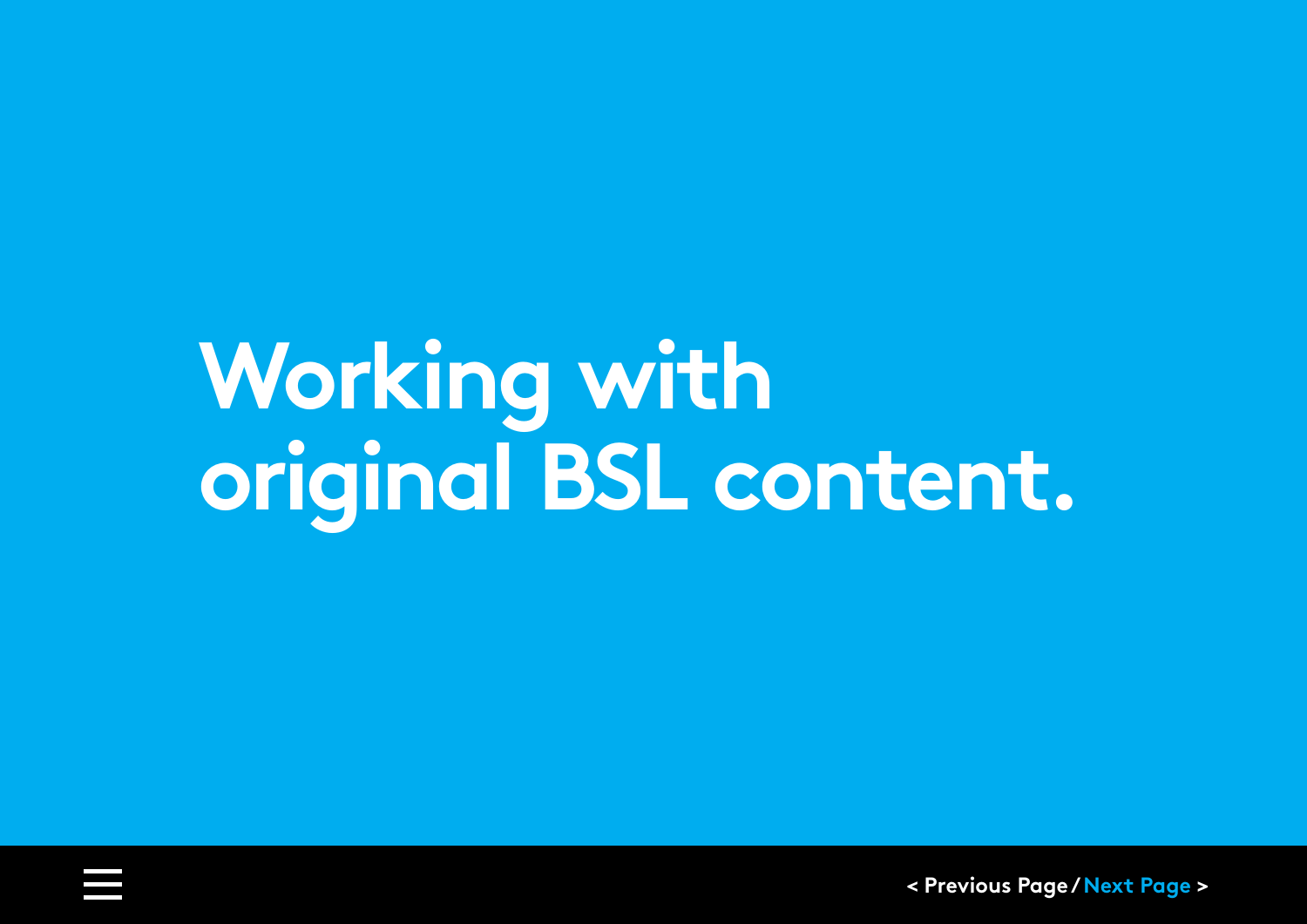# <span id="page-14-0"></span>**Working with original BSL content.**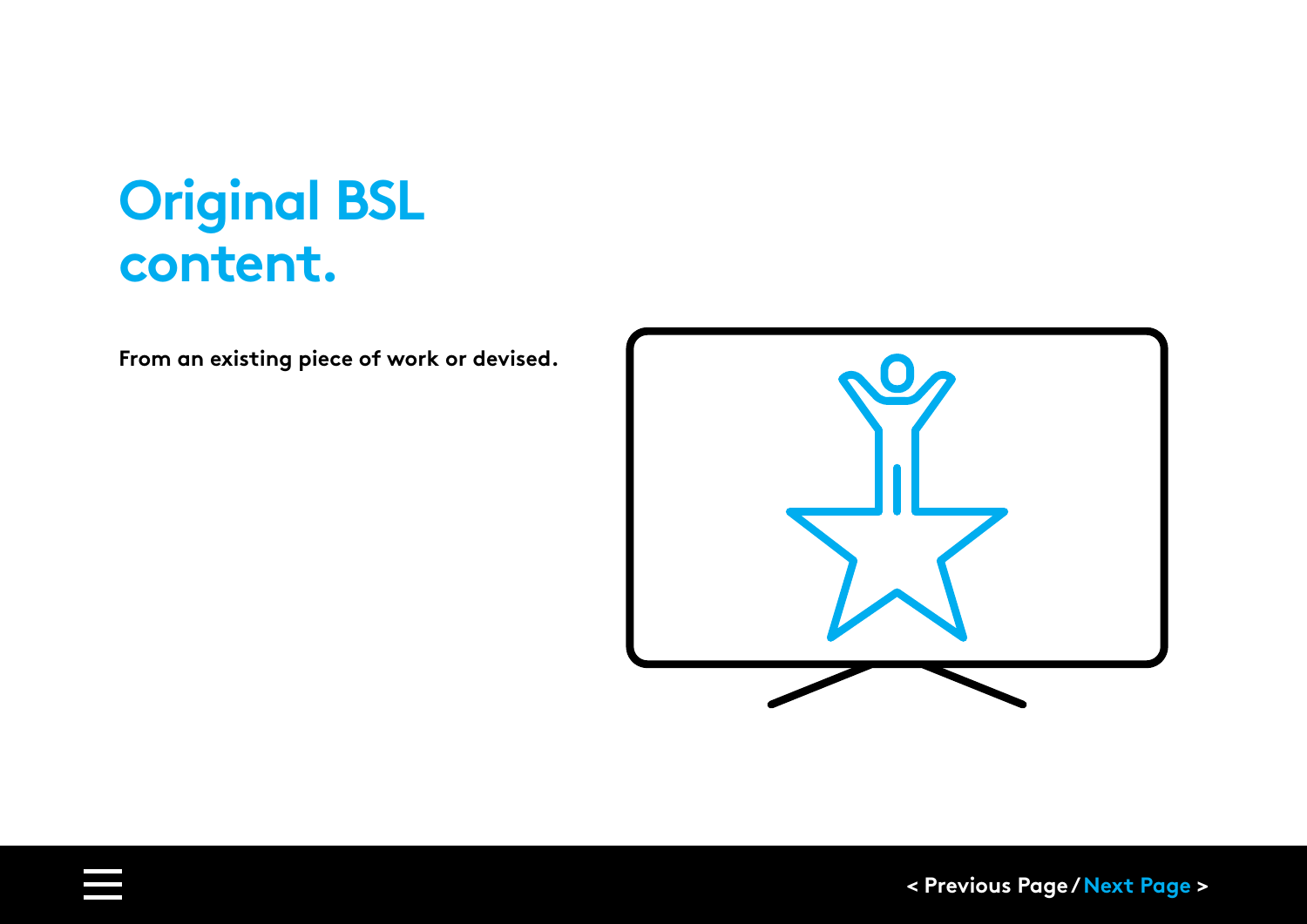## **Original BSL content.**

**From an existing piece of work or devised.**

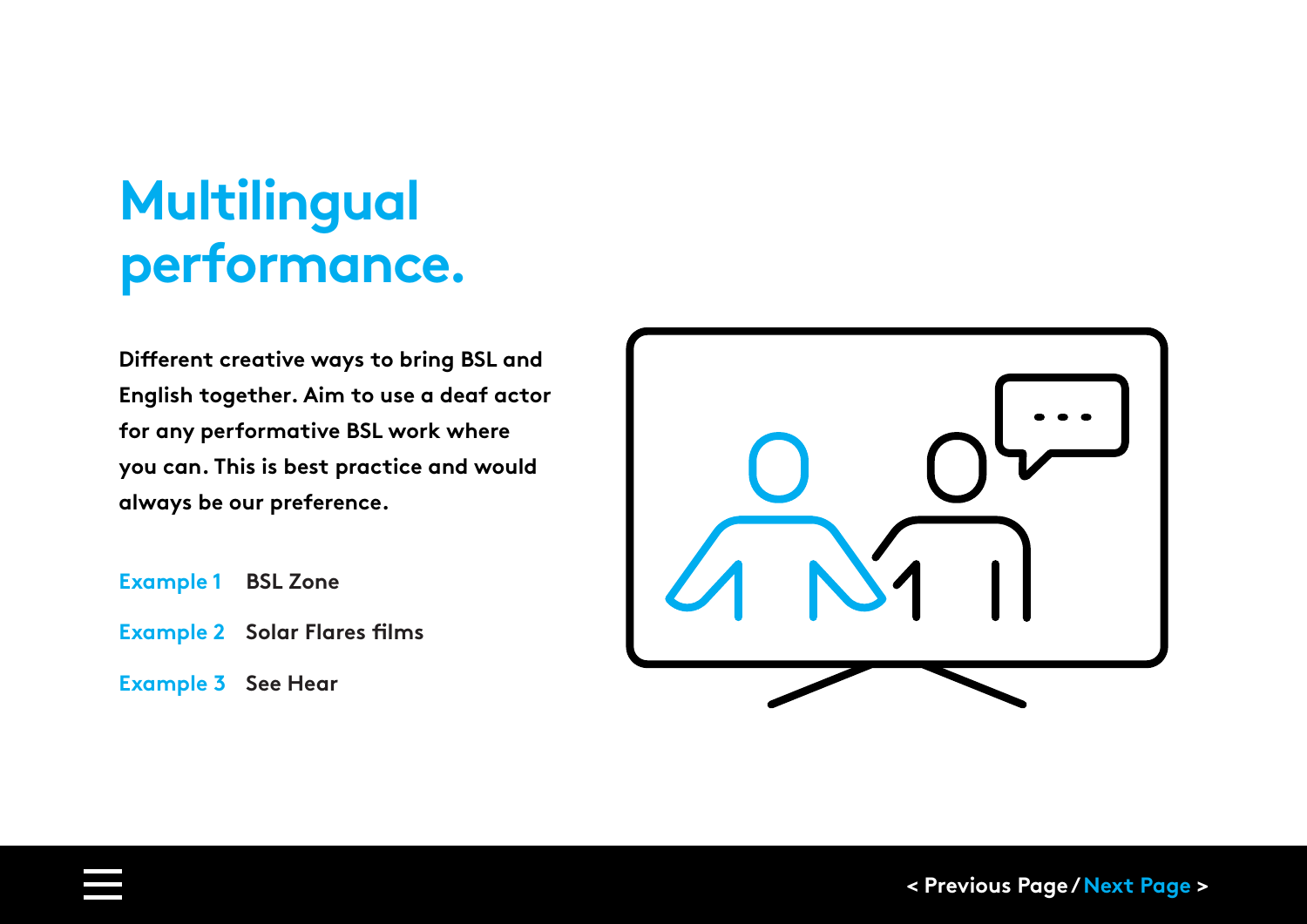## **Multilingual performance.**

**Different creative ways to bring BSL and English together. Aim to use a deaf actor for any performative BSL work where you can. This is best practice and would always be our preference.**

- **[Example 1 BSL Zone](https://www.bslzone.co.uk/comedy)**
- **[Example 2 Solar Flares films](https://solarbear.org.uk/solar-flares/)**
- **[Example 3](https://www.bbc.co.uk/programmes/b006m9cb) See Hear**

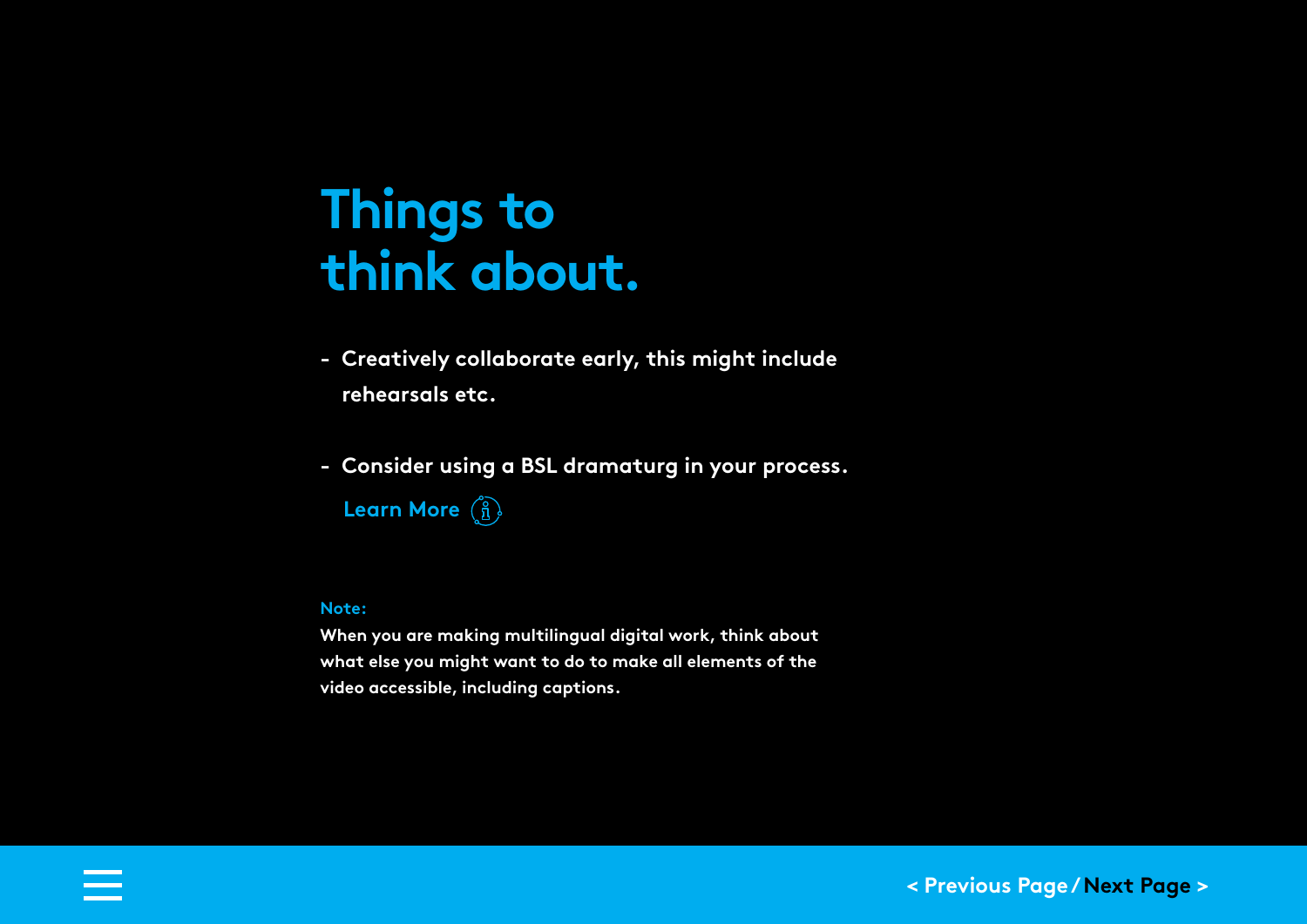### **Things to think about.**

- **Creatively collaborate early, this might include rehearsals etc.**
- **- Consider using a BSL dramaturg in your process.**

**[Learn More](#page-27-0)**

#### **Note:**

**When you are making multilingual digital work, think about what else you might want to do to make all elements of the video accessible, including captions.**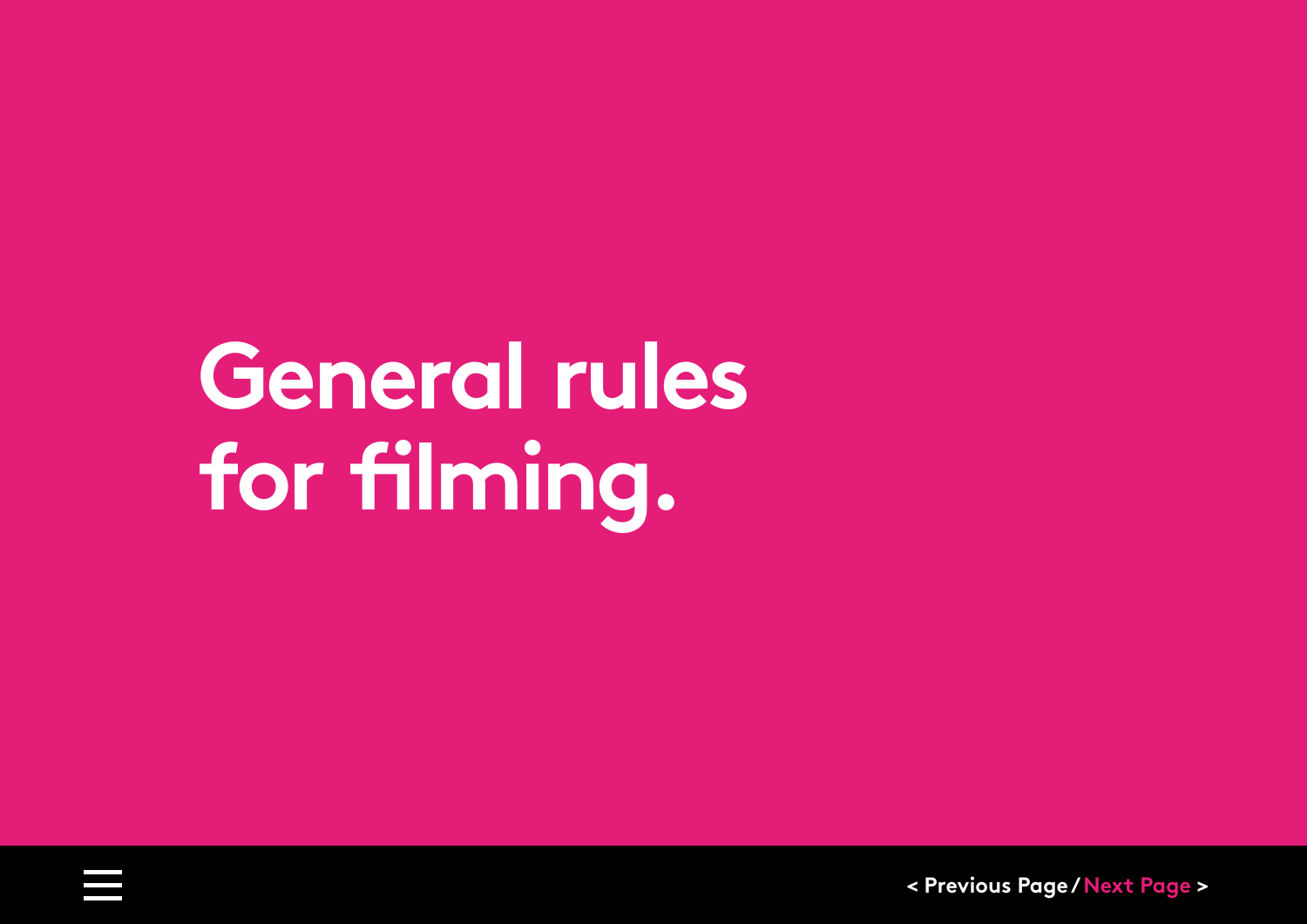# <span id="page-18-0"></span>**General rules for filming.**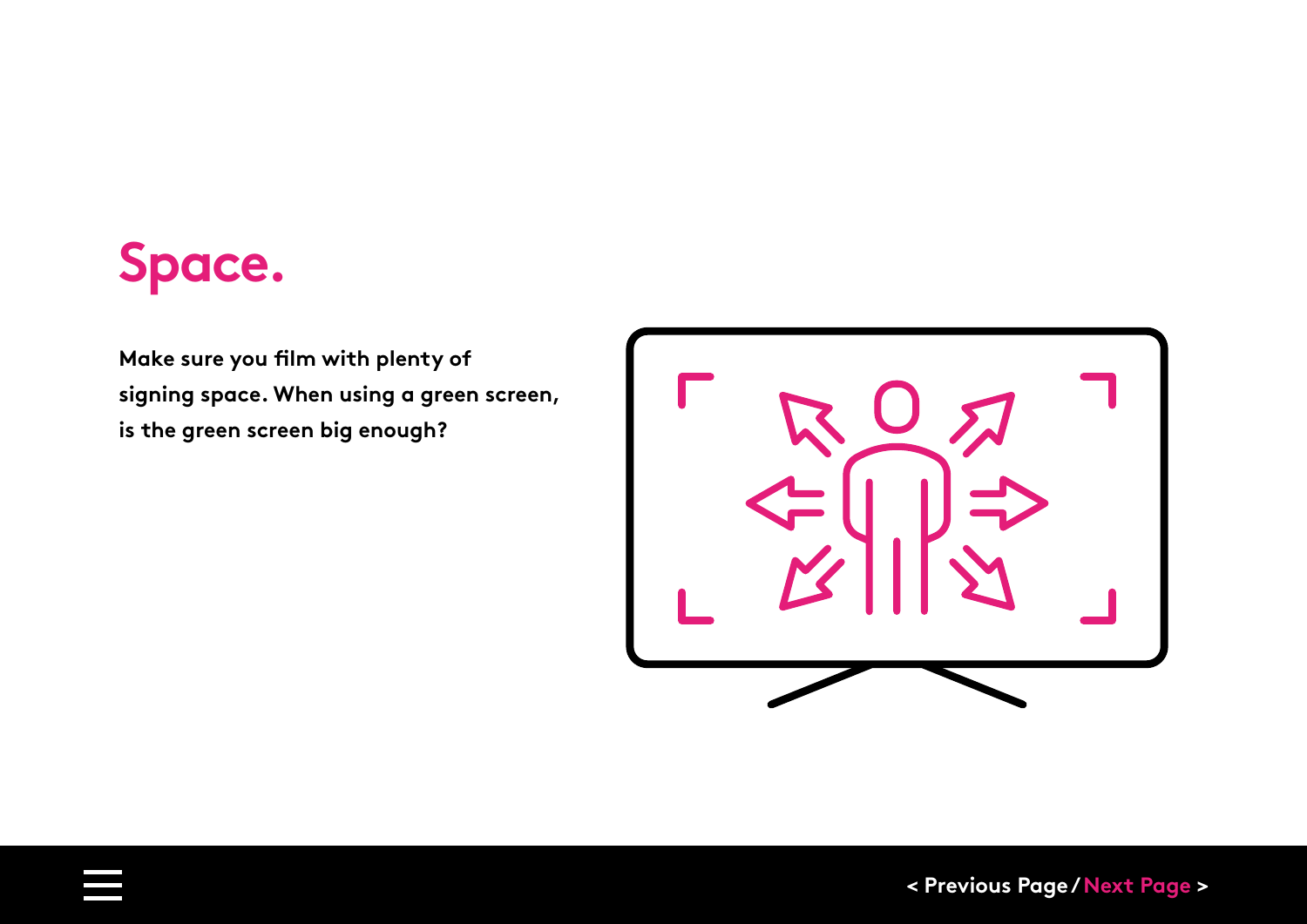### **Space.**

**Make sure you film with plenty of signing space. When using a green screen, is the green screen big enough?**

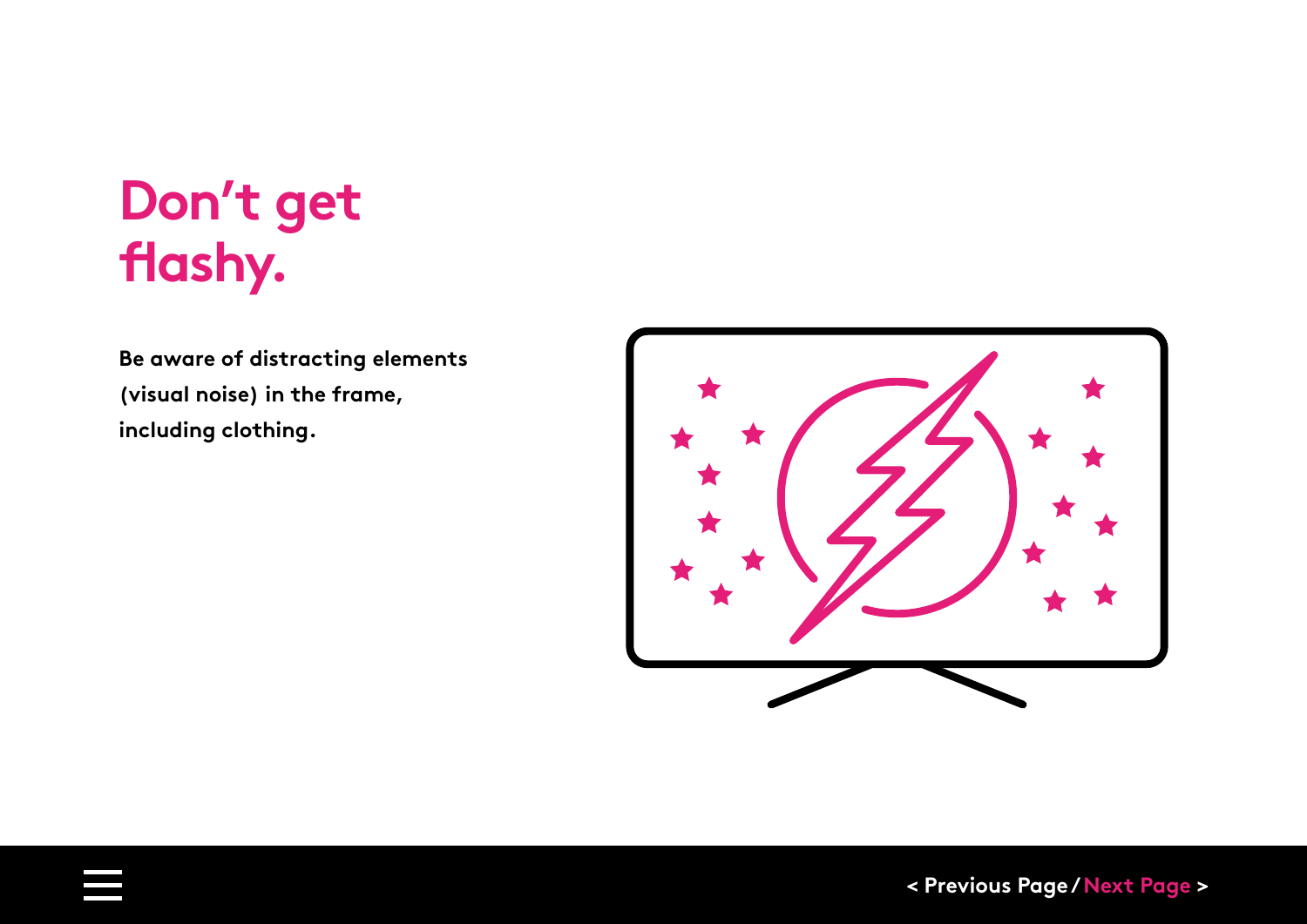## **Don't get flashy.**

**Be aware of distracting elements (visual noise) in the frame, including clothing.**

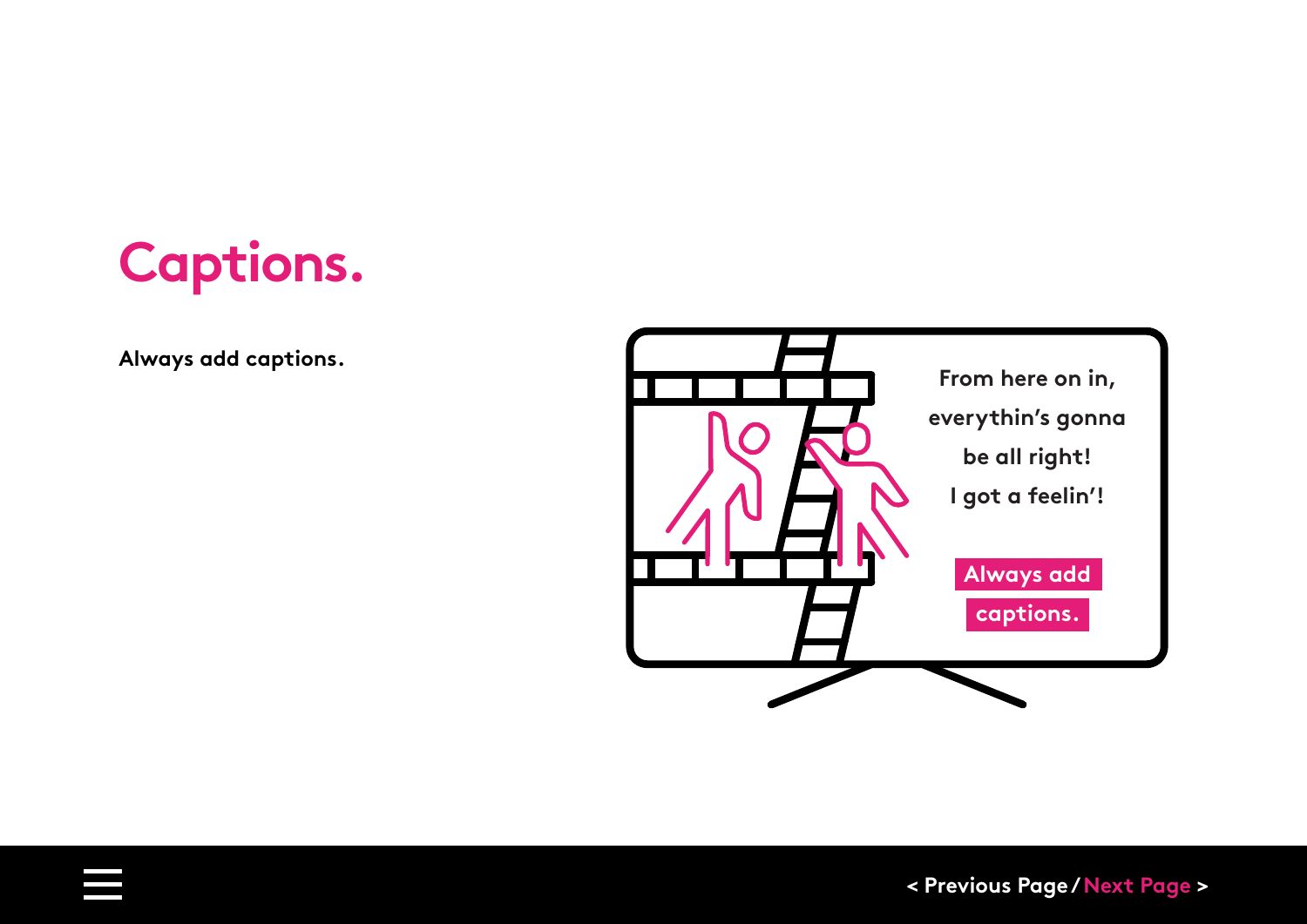

**Always add captions.**

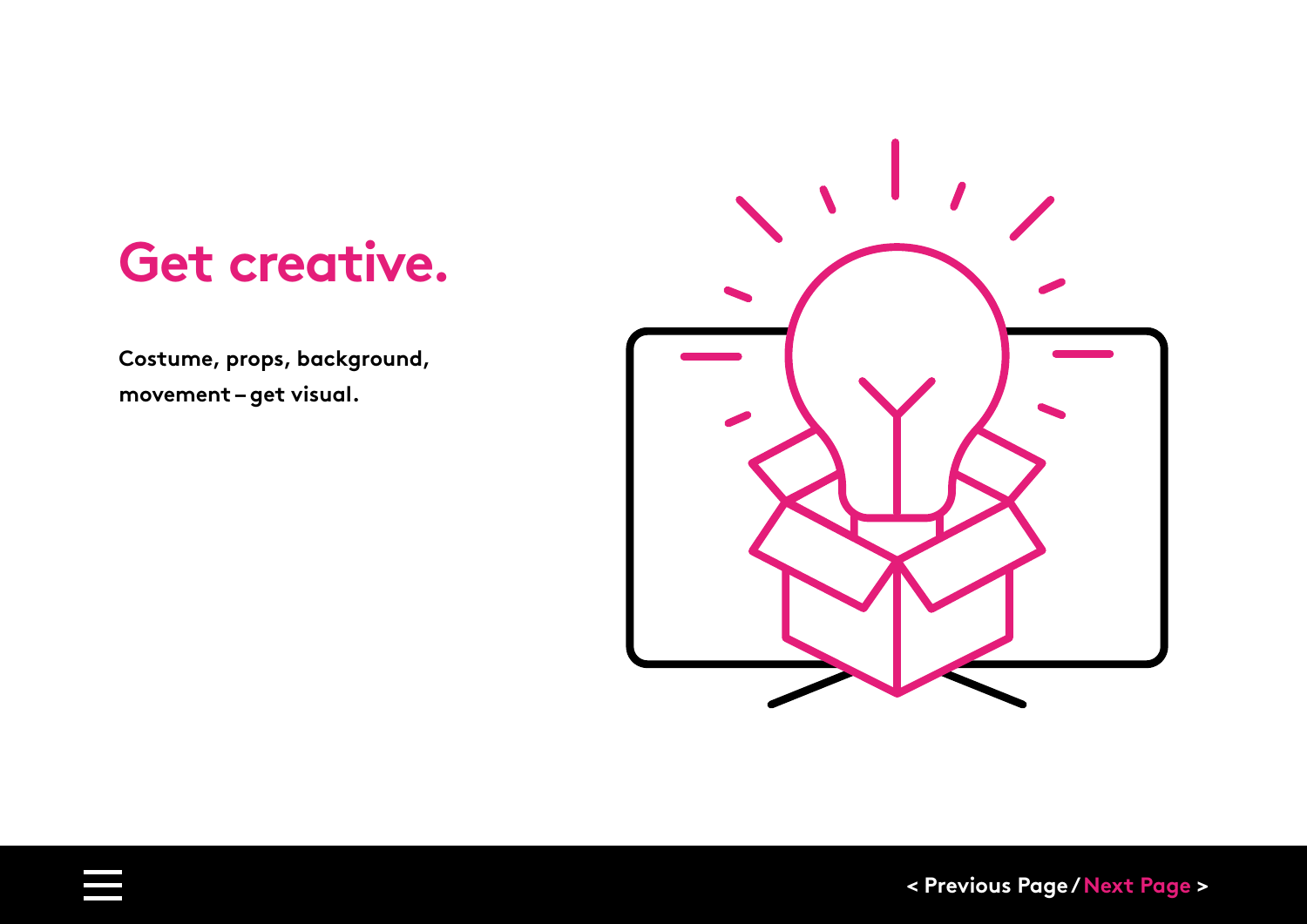### **Get creative.**

**Costume, props, background, movement – get visual.**

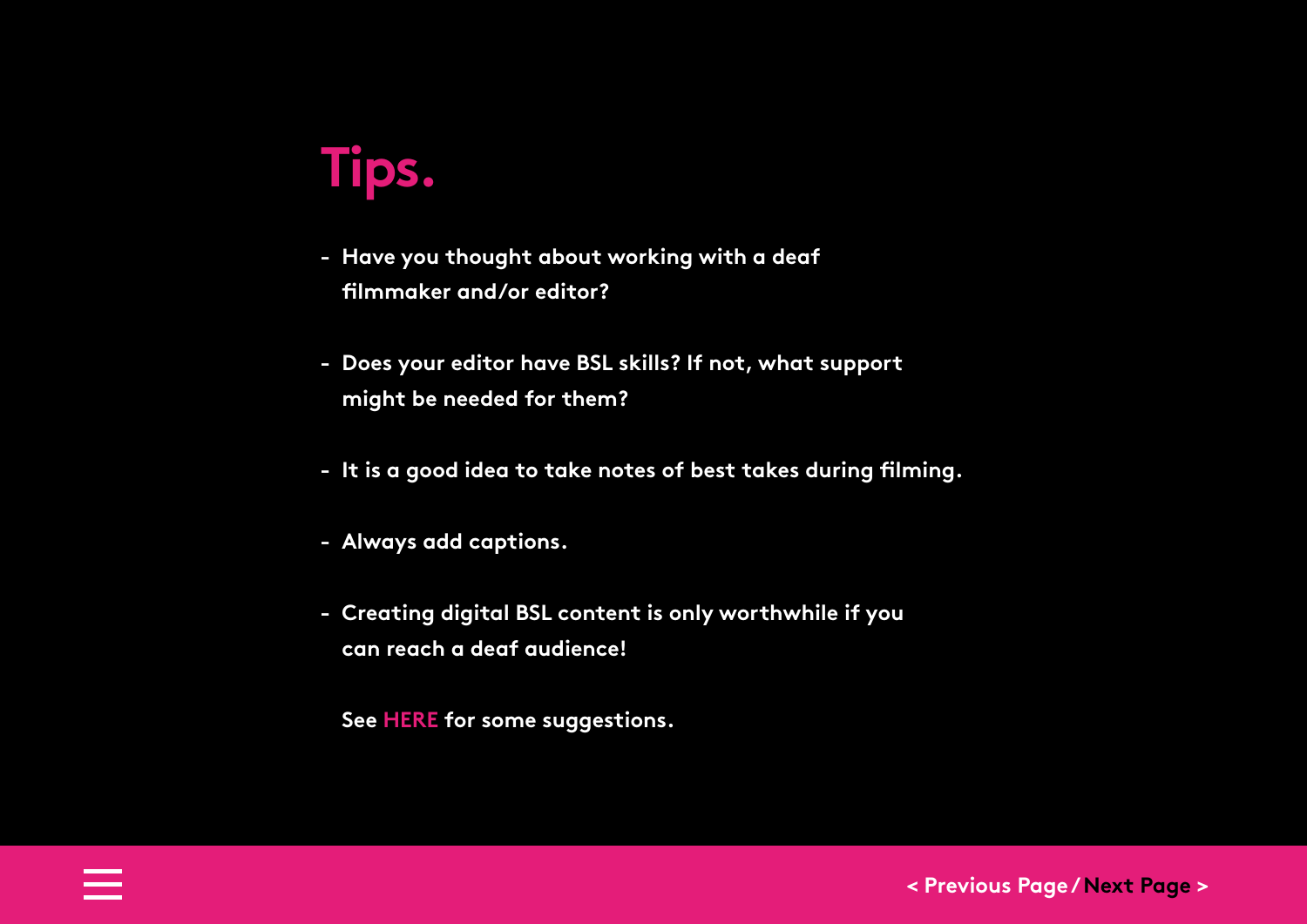## **Tips.**

- **- Have you thought about working with a deaf filmmaker and/or editor?**
- **- Does your editor have BSL skills? If not, what support might be needed for them?**
- **- It is a good idea to take notes of best takes during filming.**
- **- Always add captions.**
- **- Creating digital BSL content is only worthwhile if you can reach a deaf audience!**

**[See HERE for some suggestions.](#page-41-0)**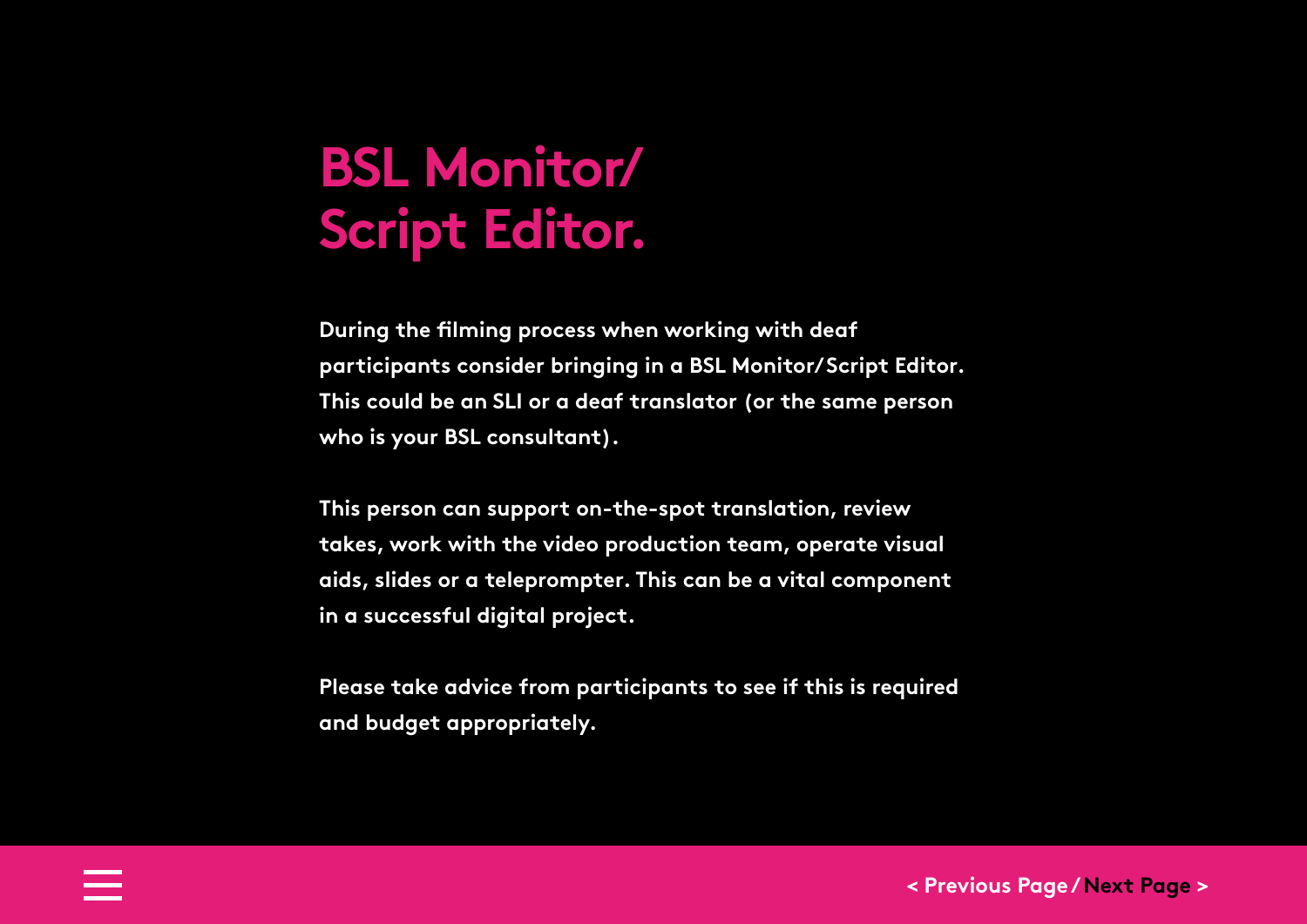### **BSL Monitor/ Script Editor.**

**During the filming process when working with deaf participants consider bringing in a BSL Monitor/ Script Editor. This could be an SLI or a deaf translator (or the same person who is your BSL consultant).** 

**This person can support on-the-spot translation, review takes, work with the video production team, operate visual aids, slides or a teleprompter. This can be a vital component in a successful digital project.** 

**Please take advice from participants to see if this is required and budget appropriately.**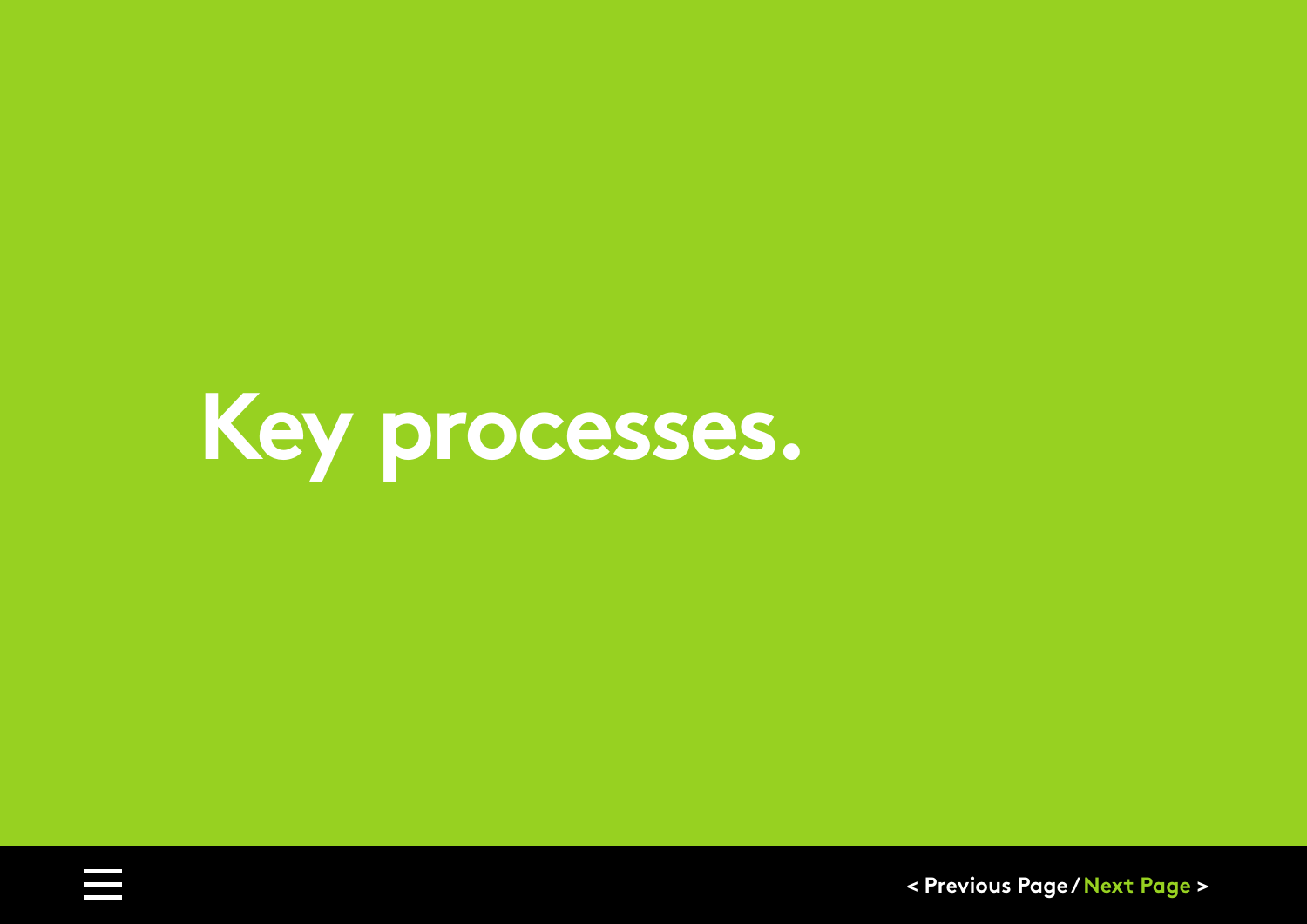<span id="page-25-0"></span>**Key processes.**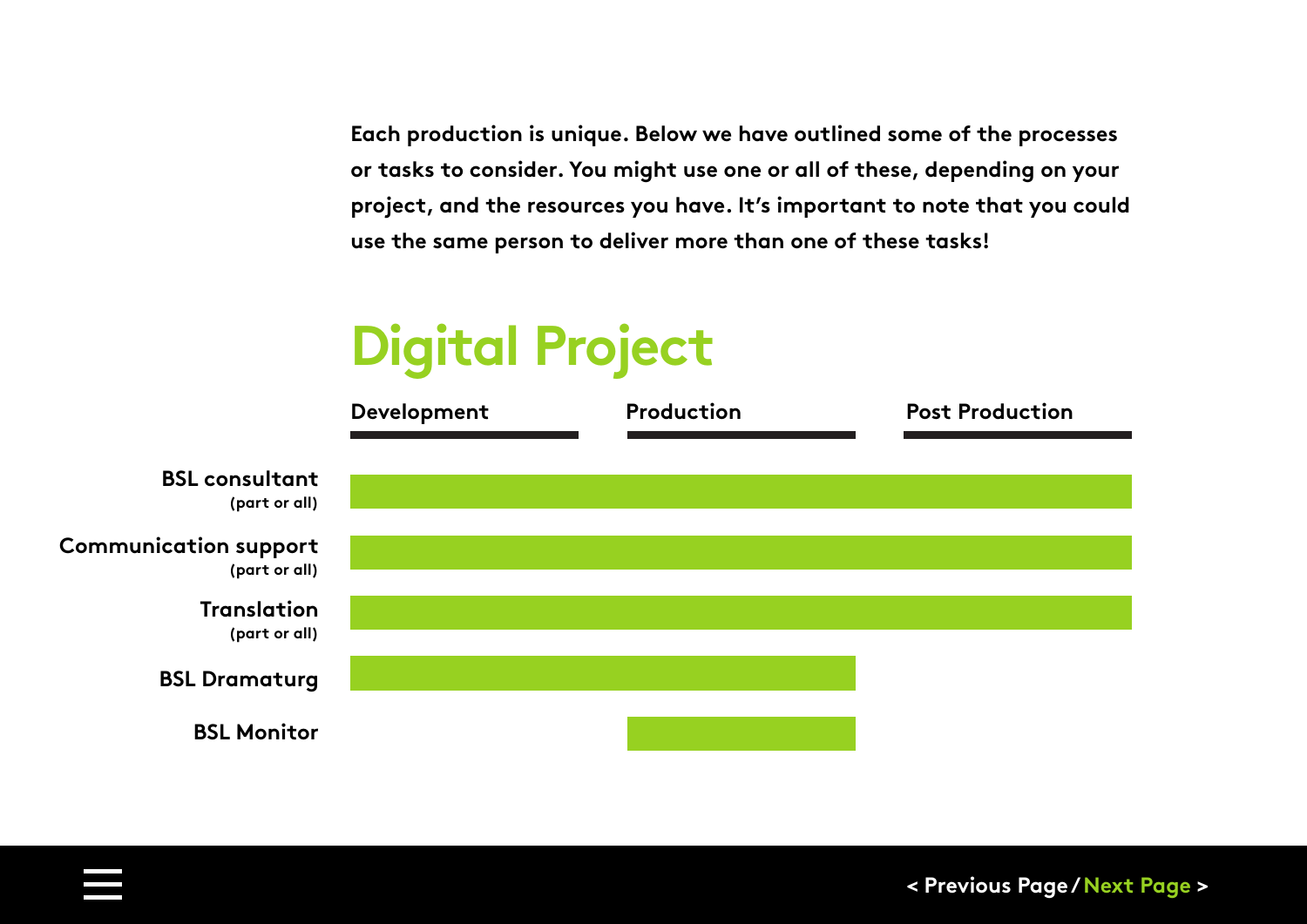**Each production is unique. Below we have outlined some of the processes or tasks to consider. You might use one or all of these, depending on your project, and the resources you have. It's important to note that you could use the same person to deliver more than one of these tasks!**

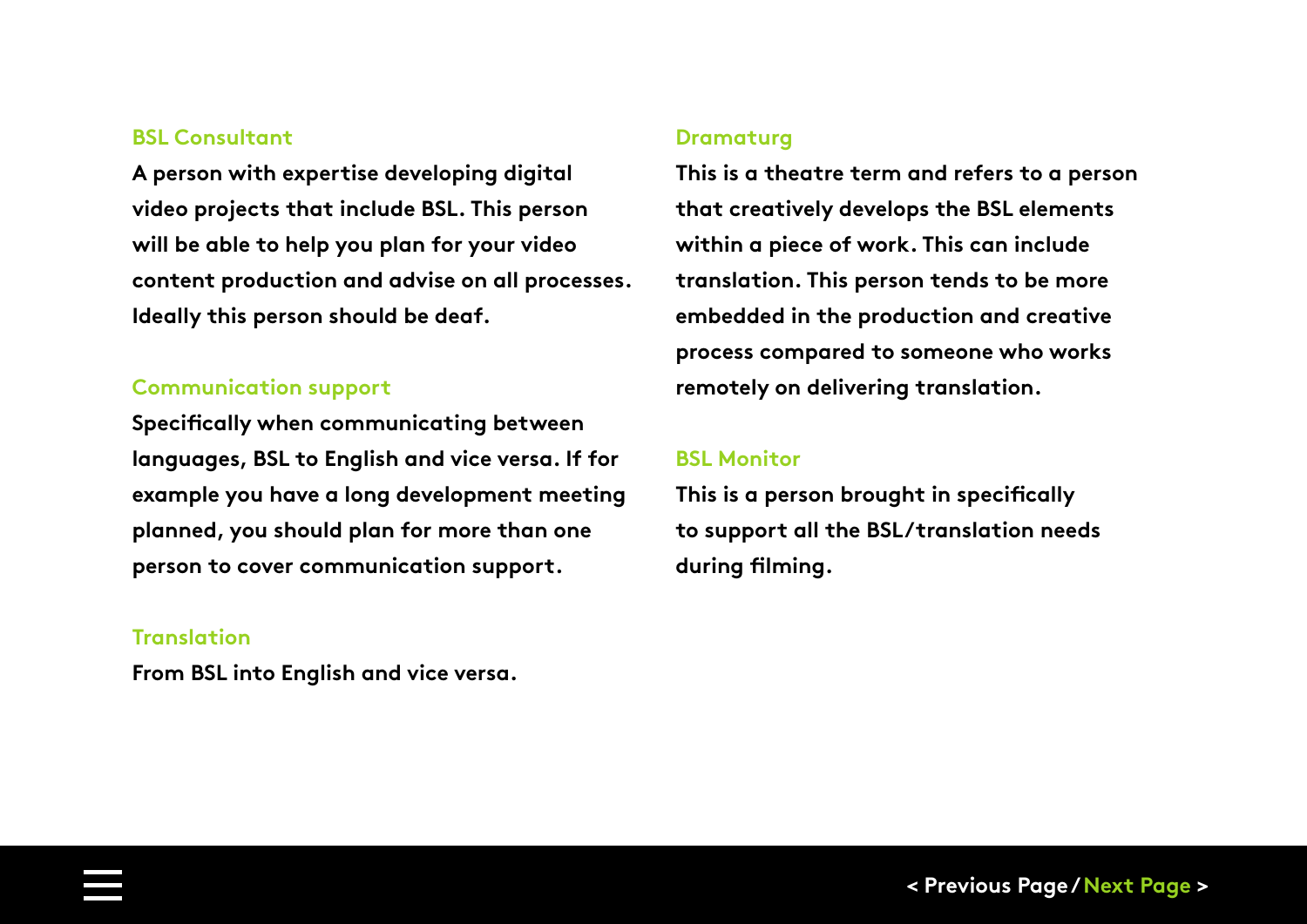#### <span id="page-27-0"></span>**BSL Consultant**

**A person with expertise developing digital video projects that include BSL. This person will be able to help you plan for your video content production and advise on all processes. Ideally this person should be deaf.** 

#### **Communication support**

**Specifically when communicating between languages, BSL to English and vice versa. If for example you have a long development meeting planned, you should plan for more than one person to cover communication support.** 

#### **Translation**

**From BSL into English and vice versa.** 

#### **Dramaturg**

**This is a theatre term and refers to a person that creatively develops the BSL elements within a piece of work. This can include translation. This person tends to be more embedded in the production and creative process compared to someone who works remotely on delivering translation.** 

#### **BSL Monitor**

**This is a person brought in specifically to support all the BSL/translation needs during filming.**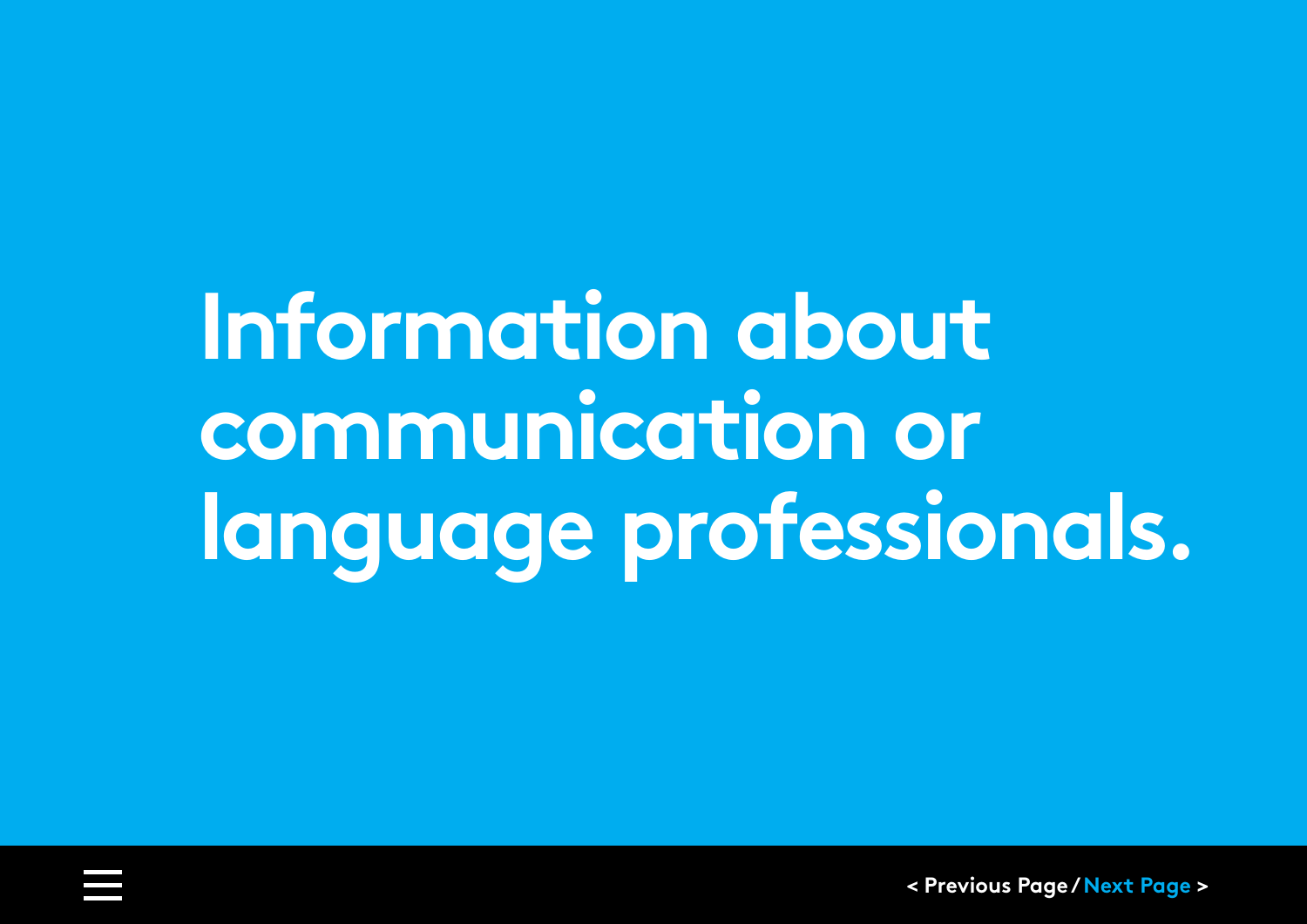# <span id="page-28-0"></span>**Information about communication or language professionals.**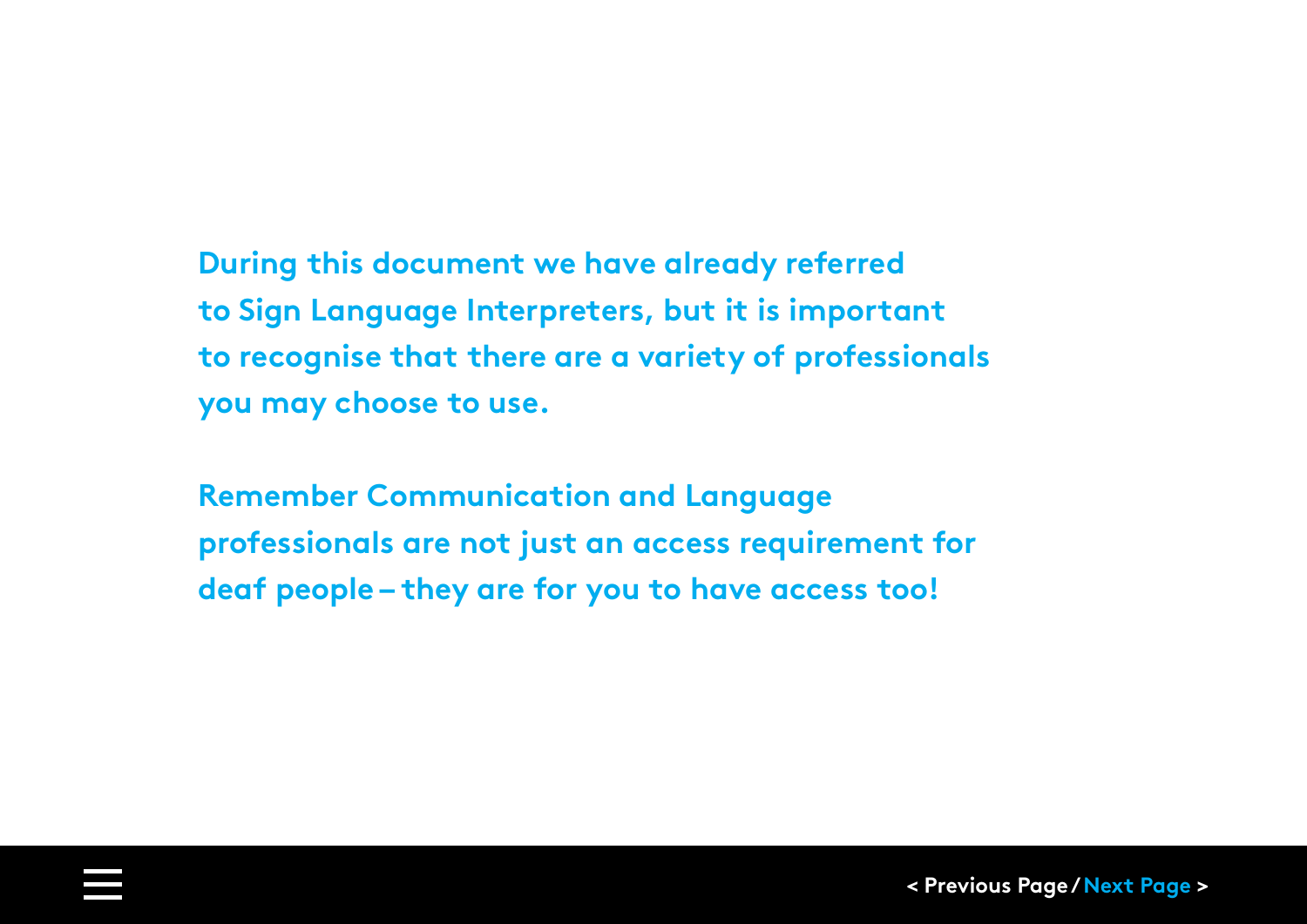# **During this document we have already referred**

**to Sign Language Interpreters, but it is important to recognise that there are a variety of professionals you may choose to use.** 

**Remember Communication and Language professionals are not just an access requirement for deaf people – they are for you to have access too!**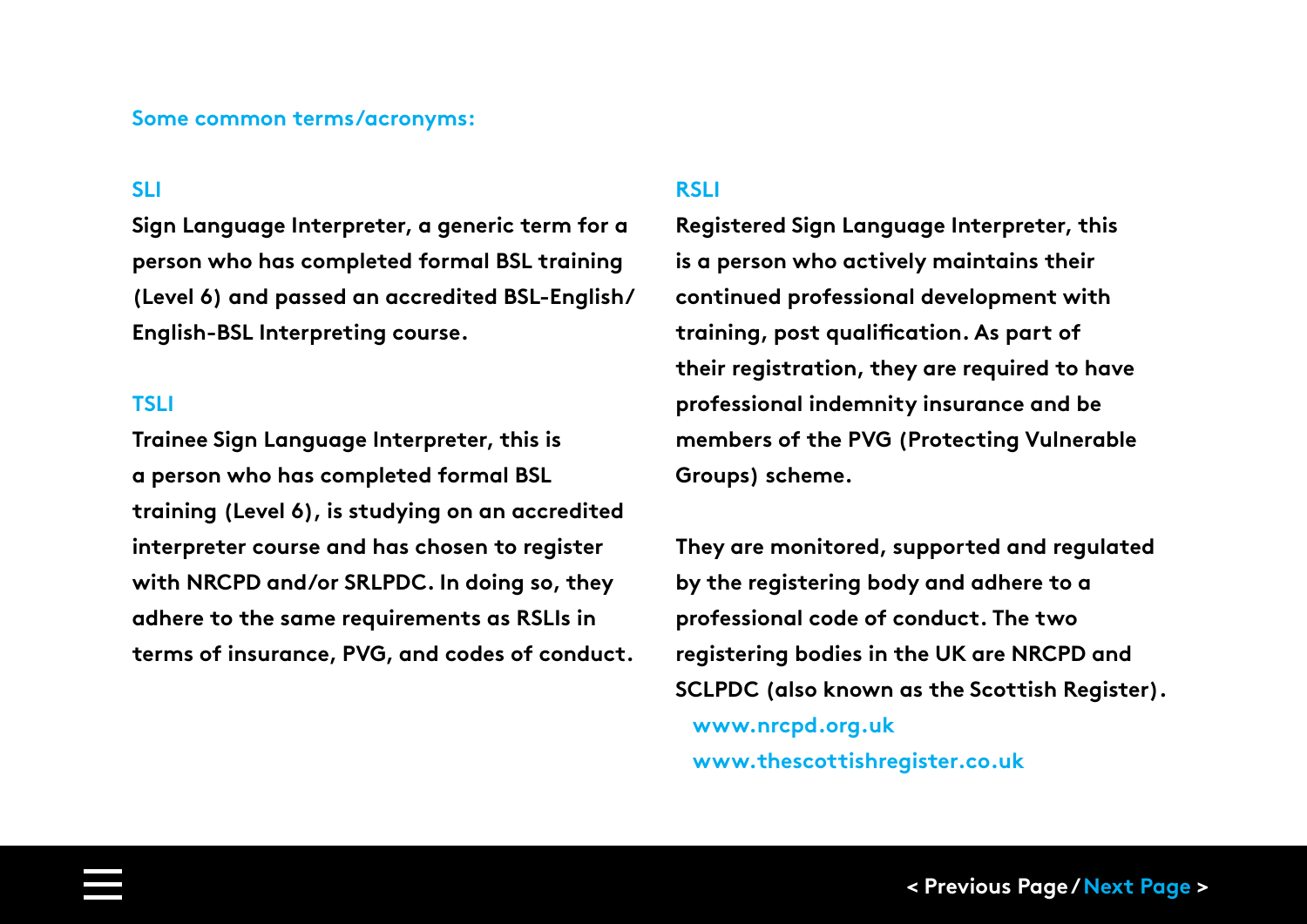#### **Some common terms/acronyms:**

#### **SLI**

**Sign Language Interpreter, a generic term for a person who has completed formal BSL training (Level 6) and passed an accredited BSL-English/ English-BSL Interpreting course.**

#### **TSLI**

**Trainee Sign Language Interpreter, this is a person who has completed formal BSL training (Level 6), is studying on an accredited interpreter course and has chosen to register with NRCPD and/or SRLPDC. In doing so, they adhere to the same requirements as RSLIs in terms of insurance, PVG, and codes of conduct.** 

#### **RSLI**

**Registered Sign Language Interpreter, this is a person who actively maintains their continued professional development with training, post qualification. As part of their registration, they are required to have professional indemnity insurance and be members of the PVG (Protecting Vulnerable Groups) scheme.** 

**They are monitored, supported and regulated by the registering body and adhere to a professional code of conduct. The two registering bodies in the UK are NRCPD and SCLPDC (also known as the Scottish Register). [www.nrcpd.org.uk](https://www.nrcpd.org.uk) [www.thescottishregister.co.uk](https://thescottishregister.co.uk)**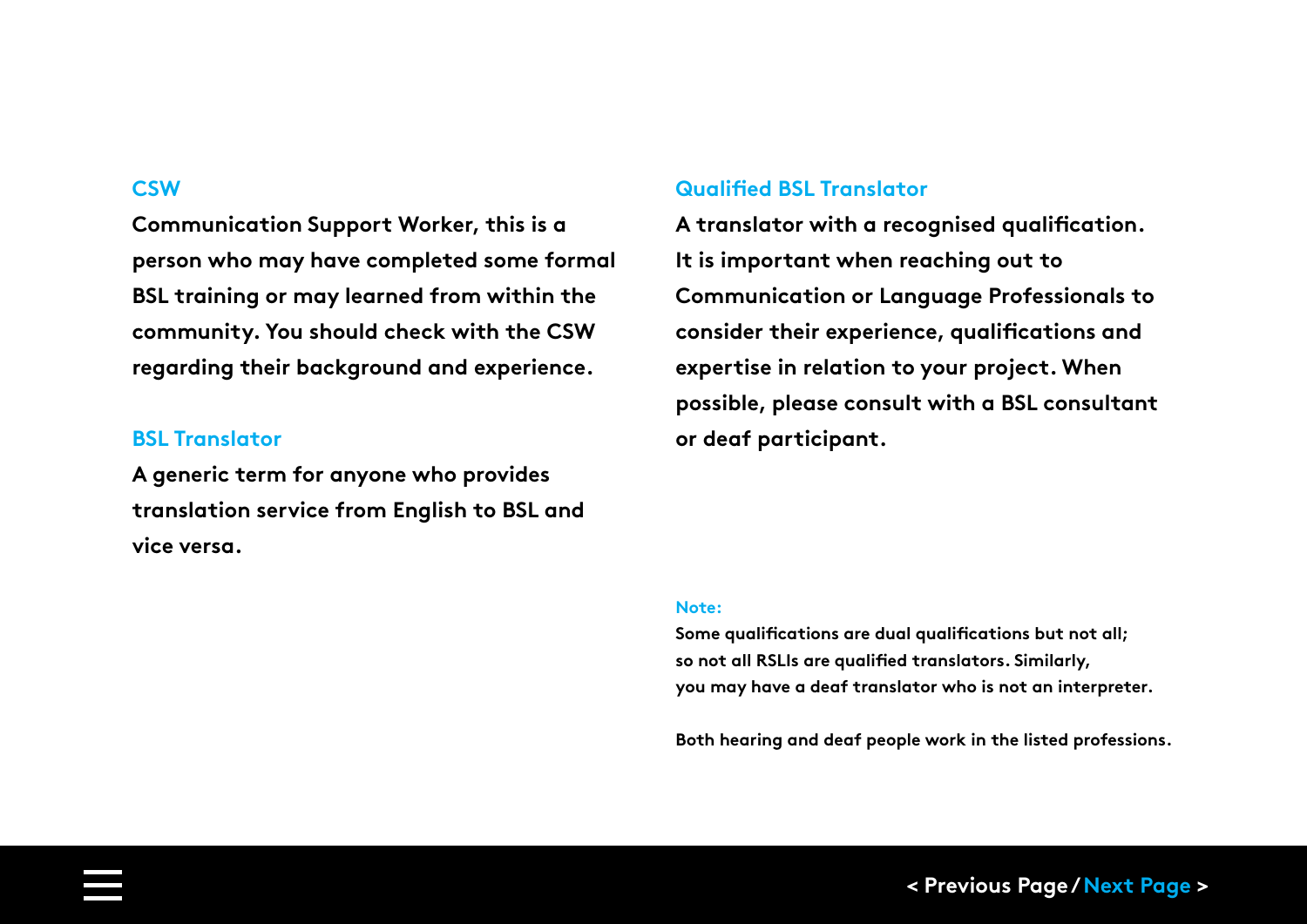#### **CSW**

**Communication Support Worker, this is a person who may have completed some formal BSL training or may learned from within the community. You should check with the CSW regarding their background and experience.** 

#### **BSL Translator**

**A generic term for anyone who provides translation service from English to BSL and vice versa.** 

#### **Qualified BSL Translator**

**A translator with a recognised qualification. It is important when reaching out to Communication or Language Professionals to consider their experience, qualifications and expertise in relation to your project. When possible, please consult with a BSL consultant or deaf participant.**

#### **Note:**

**Some qualifications are dual qualifications but not all; so not all RSLIs are qualified translators. Similarly, you may have a deaf translator who is not an interpreter.**

**Both hearing and deaf people work in the listed professions.**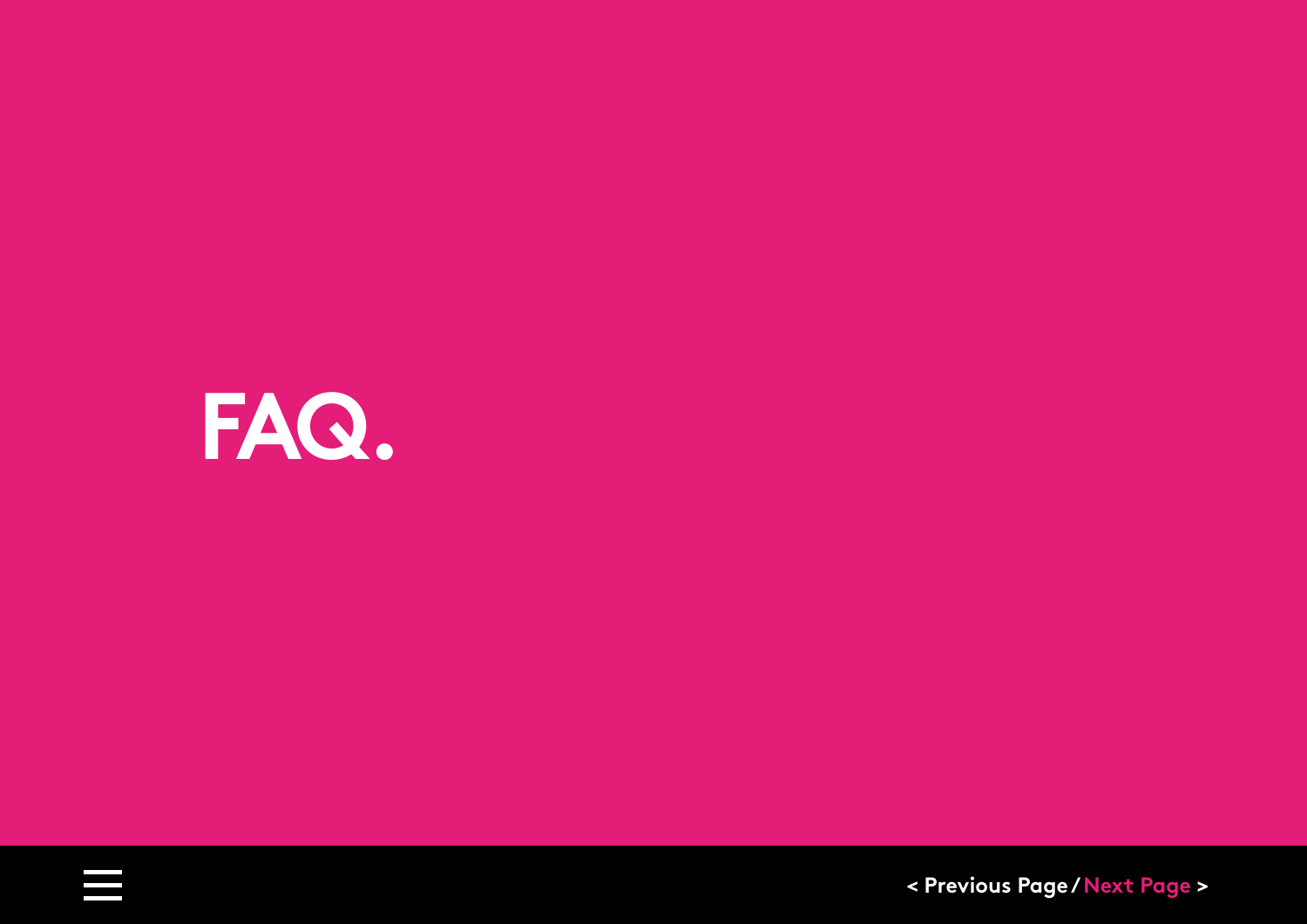<span id="page-32-0"></span>

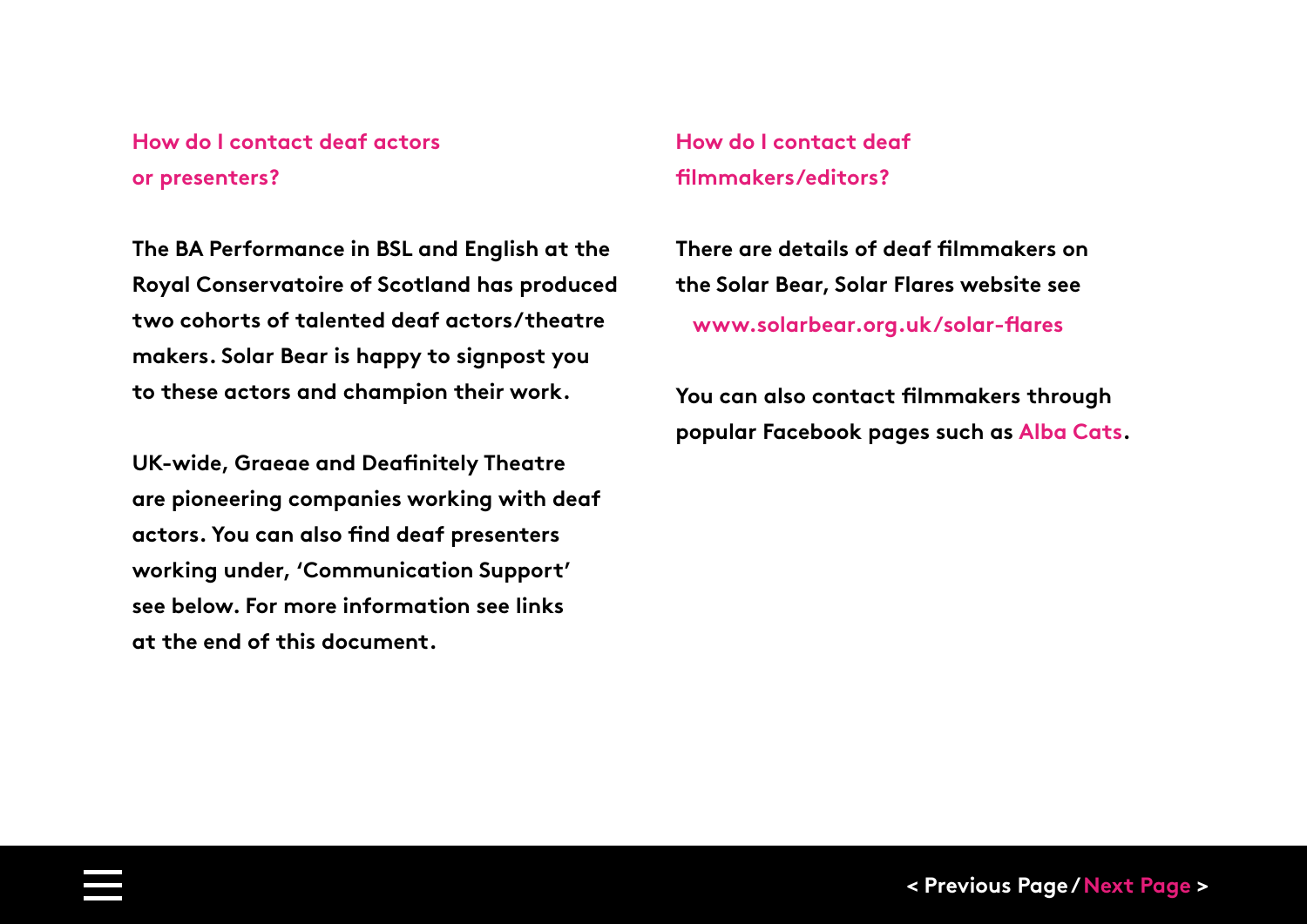#### **How do I contact deaf actors or presenters?**

**The BA Performance in BSL and English at the Royal Conservatoire of Scotland has produced two cohorts of talented deaf actors/theatre makers. Solar Bear is happy to signpost you to these actors and champion their work.** 

**UK-wide, Graeae and Deafinitely Theatre are pioneering companies working with deaf actors. You can also find deaf presenters working under, 'Communication Support' see below. For more information see links at the end of this document.**

**How do I contact deaf filmmakers/editors?**

**There are details of deaf filmmakers on the Solar Bear, Solar Flares website see  [www.solarbear.org.uk/solar-flares](http://solarbear.org.uk/solar-flares/)**

**You can also contact filmmakers through popular Facebook pages such a[s Alba Cats.](https://www.facebook.com/groups/1841608799222572)**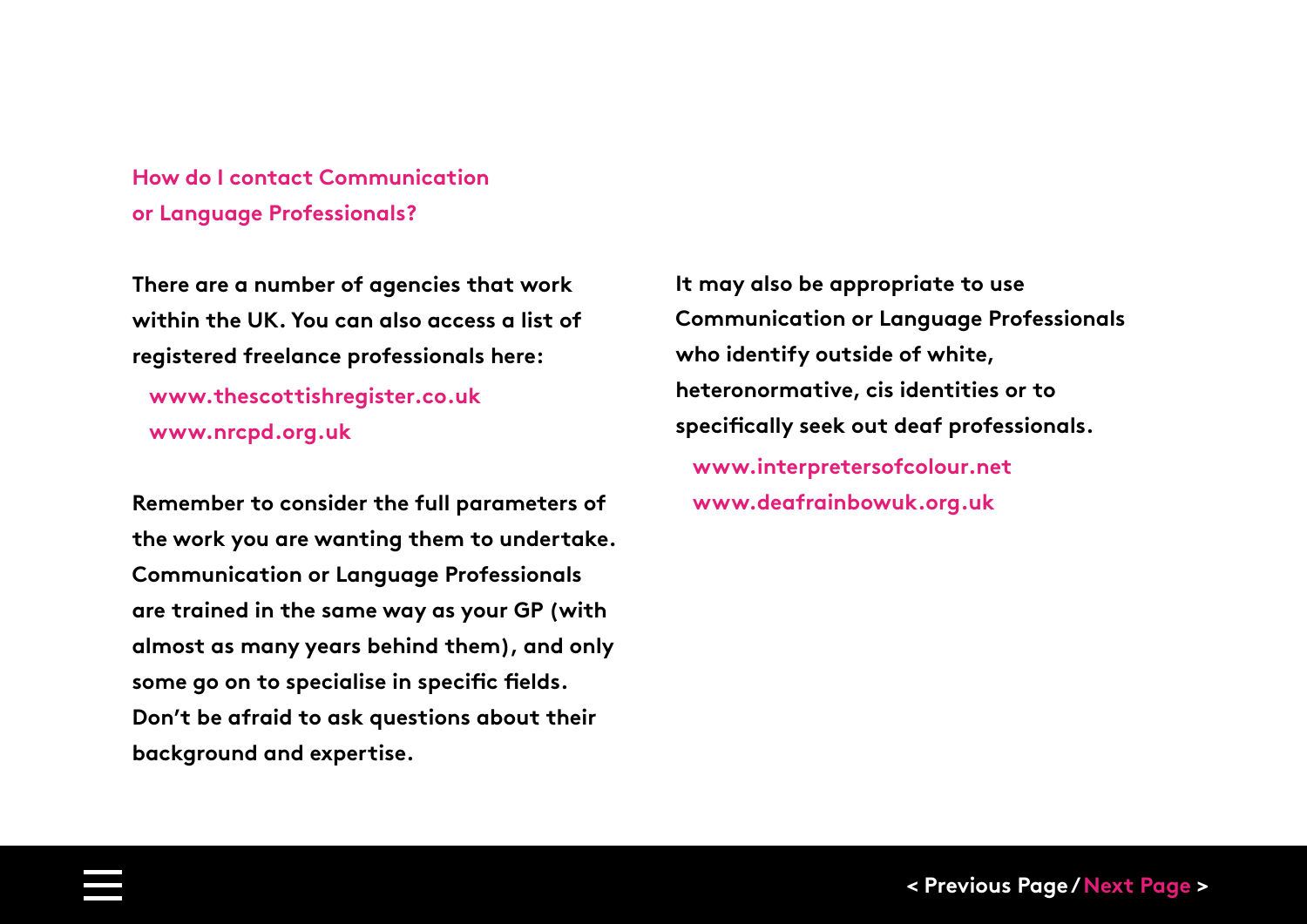**How do I contact Communication or Language Professionals?**

**There are a number of agencies that work within the UK. You can also access a list of registered freelance professionals here:**

 **[www.thescottishregister.co.uk](https://thescottishregister.co.uk) [www.nrcpd.org.uk](https://www.nrcpd.org.uk)**

**Remember to consider the full parameters of the work you are wanting them to undertake. Communication or Language Professionals are trained in the same way as your GP (with almost as many years behind them), and only some go on to specialise in specific fields. Don't be afraid to ask questions about their background and expertise.** 

**It may also be appropriate to use Communication or Language Professionals who identify outside of white, heteronormative, cis identities or to specifically seek out deaf professionals. [www.interpretersofcolour.net](https://www.interpretersofcolour.net) [www.deafrainbowuk.org.uk](http://www.deafrainbowuk.org.uk)**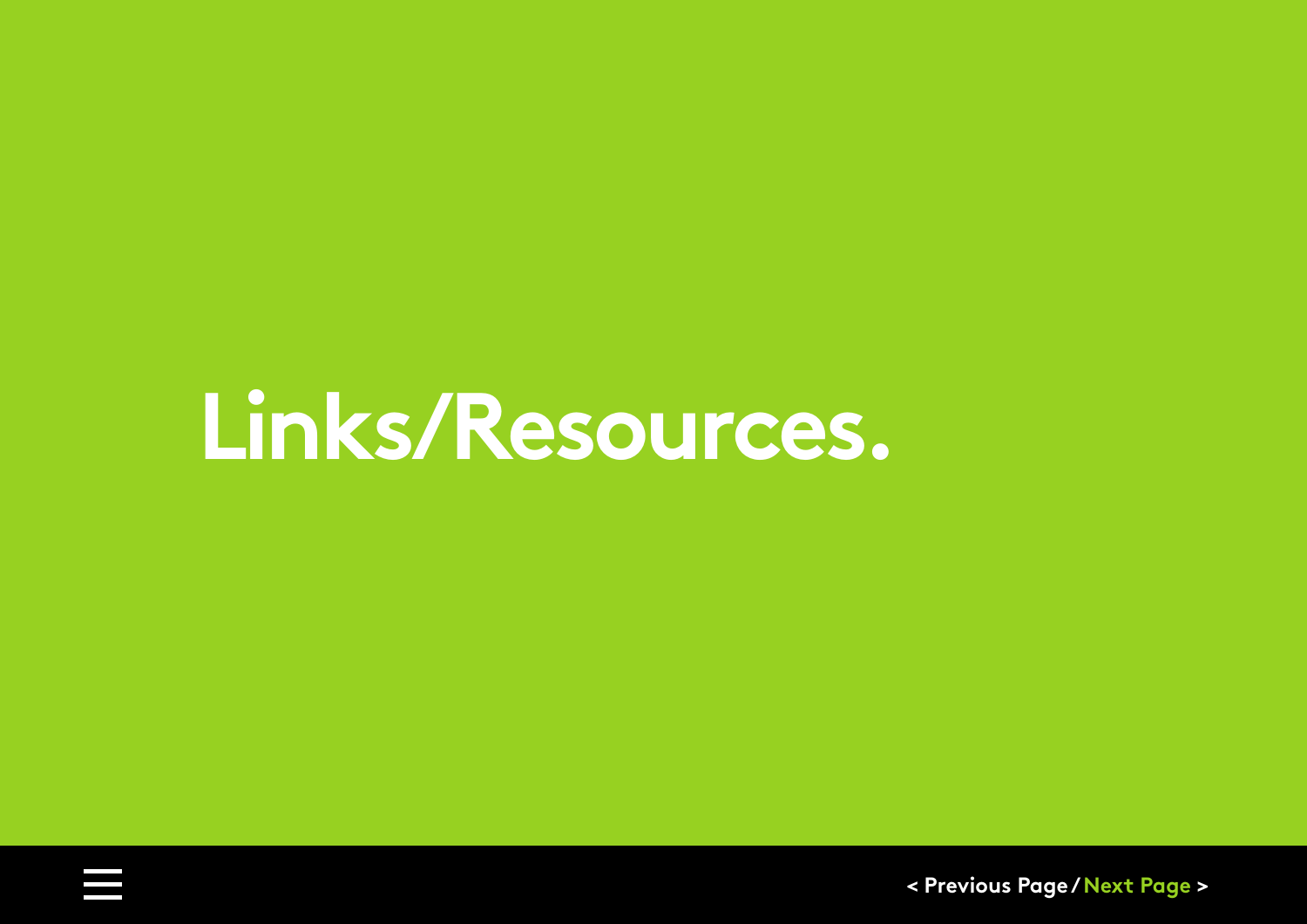# <span id="page-35-0"></span>**Links/Resources.**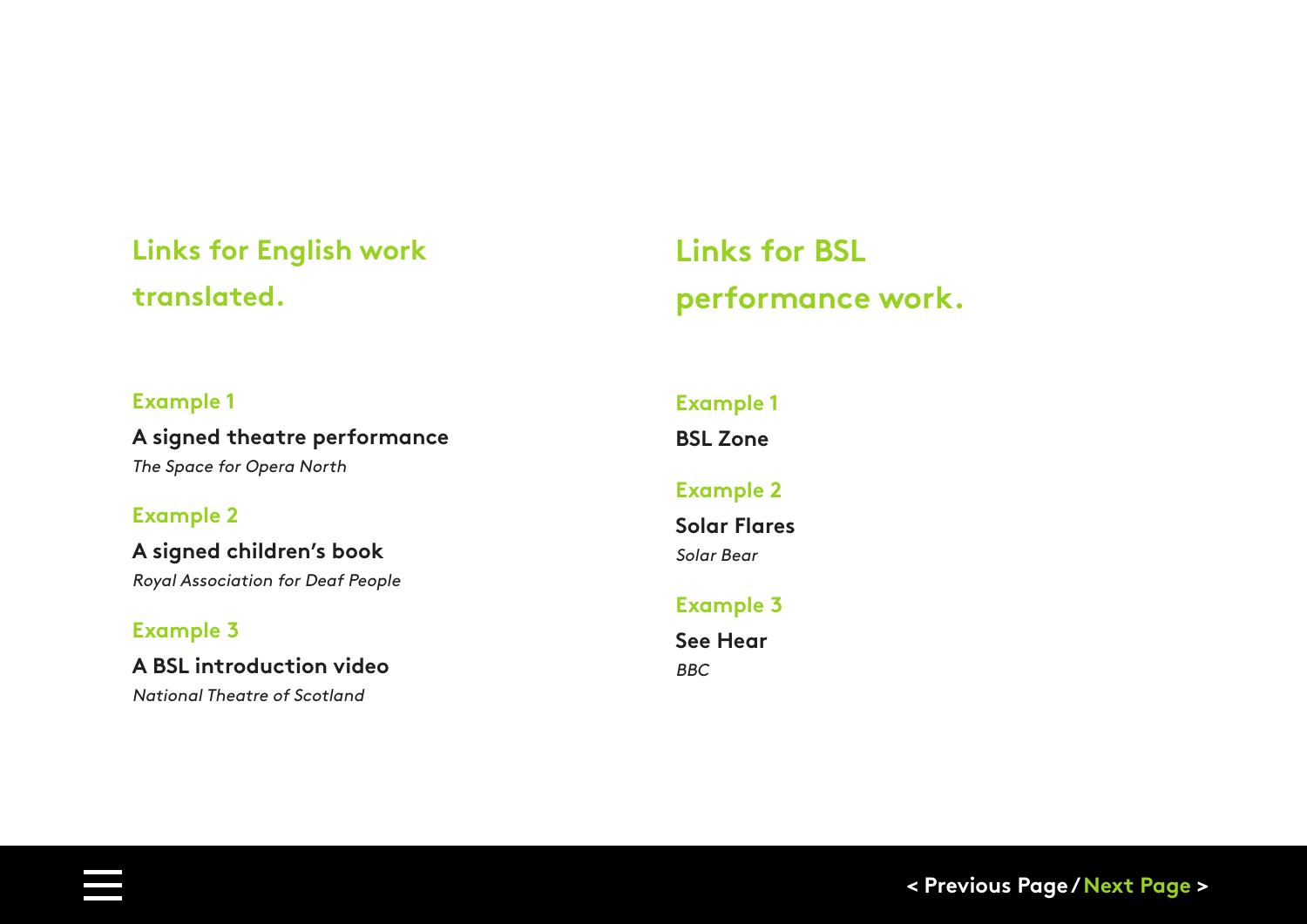### **Links for English work translated.**

### **Links for BSL performance work.**

#### **Example 1**

**[A signed theatre performance](https://www.youtube.com/watch?v=yyHe9CVSo3I)** The Space for Opera North

#### **Example 2**

**[A signed children's book](https://www.youtube.com/watch?v=NliT3p7GhQY)** Royal Association for Deaf People

#### **Example 3**

**[A BSL introduction video](https://www.youtube.com/watch?v=5ENSCBfRuqk)** National Theatre of Scotland

### **[Example 1](https://www.bslzone.co.uk/comedy) BSL Zone Example 2 [Solar Flares](https://solarbear.org.uk/solar-flares/)** Solar Bear **[Example 3](https://www.bbc.co.uk/programmes/b006m9cb)**

**See Hear** BBC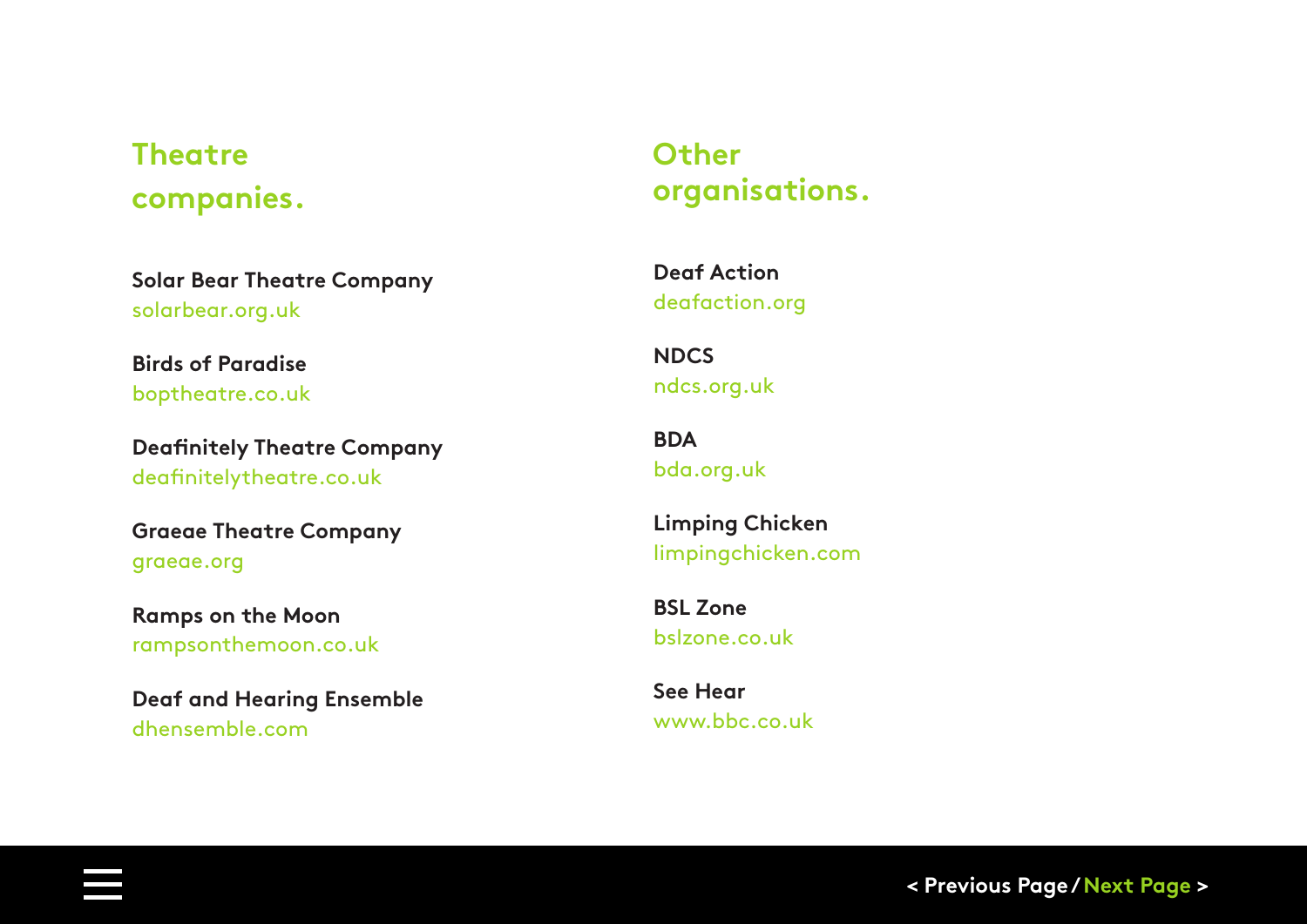### **Theatre companies.**

**[Solar Bear Theatre Company](https://solarbear.org.uk)** solarbear.org.uk

**Birds of Paradise** [boptheatre.co.uk](https://www.boptheatre.co.uk)

**[Deafinitely Theatre Company](https://www.deafinitelytheatre.co.uk)** deafinitelytheatre.co.uk

**[Graeae Theatre Company](https://graeae.org)** graeae.org

**Ramps on the Moon** [rampsonthemoon.co.uk](https://www.rampsonthemoon.co.uk/)

**[Deaf and Hearing Ensemble](http://dhensemble.com/)** dhensemble.com

### **Other organisations.**

**Deaf Action** [deafaction.org](https://www.deafaction.org)

**NDCS** [ndcs.org.uk](https://www.ndcs.org.uk/)

**BDA** [bda.org.uk](https://bda.org.uk/glasgow-office/)

**Limping Chicken** [limpingchicken.com](https://limpingchicken.com/)

**BSL Zone** [bslzone.co.uk](https://www.bslzone.co.uk/)

**See Hear** [www.bbc.co.uk](https://www.bbc.co.uk/programmes/b006m9cb)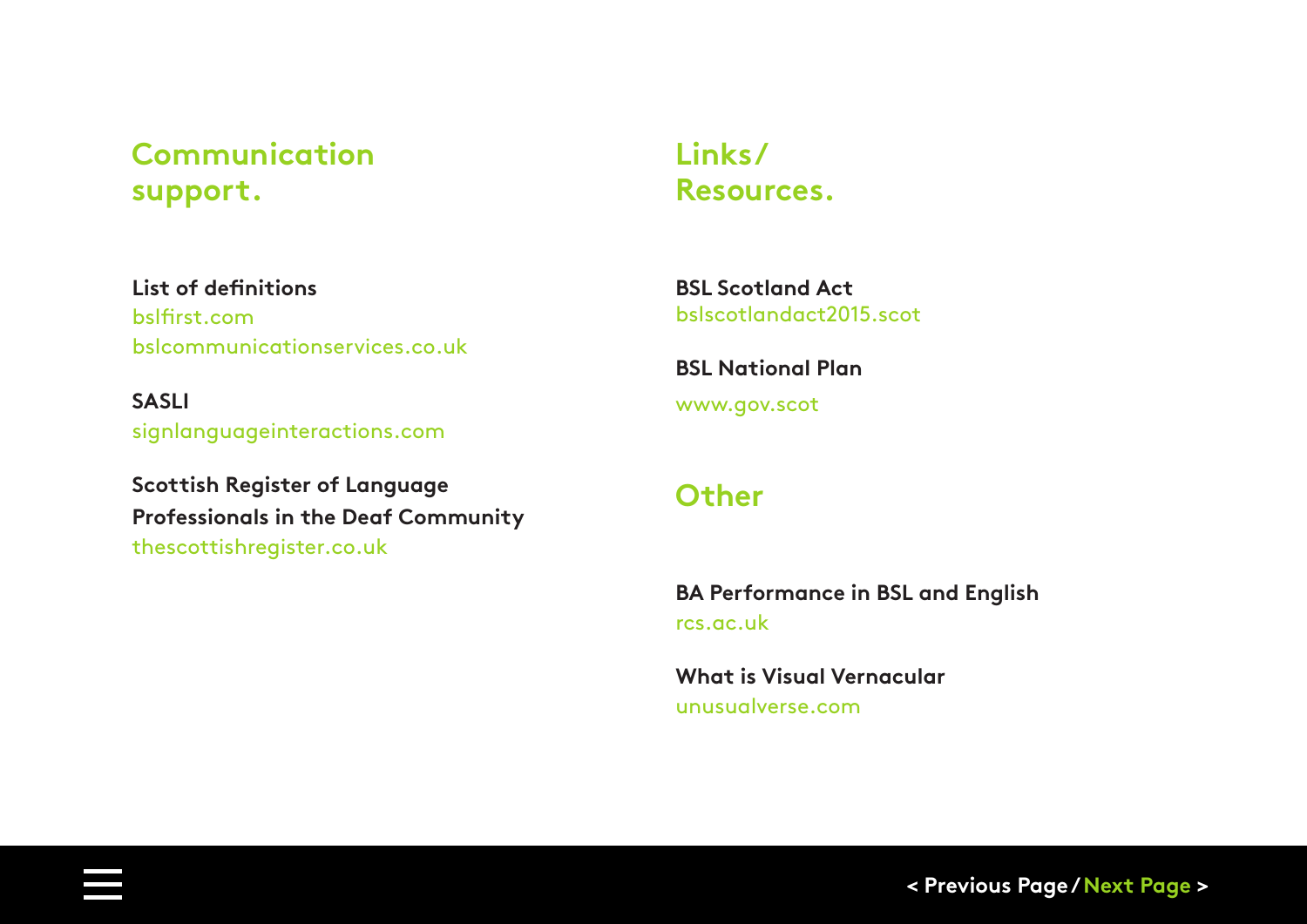### **Communication support.**

### **Links/ Resources.**

**List of definitions** [bslfirst.com](https://bslfirst.com/services/communication-and-language-support/) [bslcommunicationservices.co.uk](http://bslcommunicationservices.co.uk/bslenglish-interpreters)

**SASLI** [signlanguageinteractions.com](https://signlanguageinteractions.com/2017/04/21/sasli-registered-agency/)

**Scottish Register of Language Professionals in the Deaf Community** [thescottishregister.co.uk](https://thescottishregister.co.uk/)

**BSL Scotland Act** [bslscotlandact2015.scot](http://bslscotlandact2015.scot/)

**BSL National Plan** [www.gov.scot](https://www.gov.scot/publications/british-sign-language-bsl-national-plan-2017-2023/pages/10/)

### **Other**

**BA Performance in BSL and English** [rcs.ac.uk](https://www.rcs.ac.uk/courses/ba-performance/)

**What is Visual Vernacular** [unusualverse.com](https://vv.unusualverse.com/)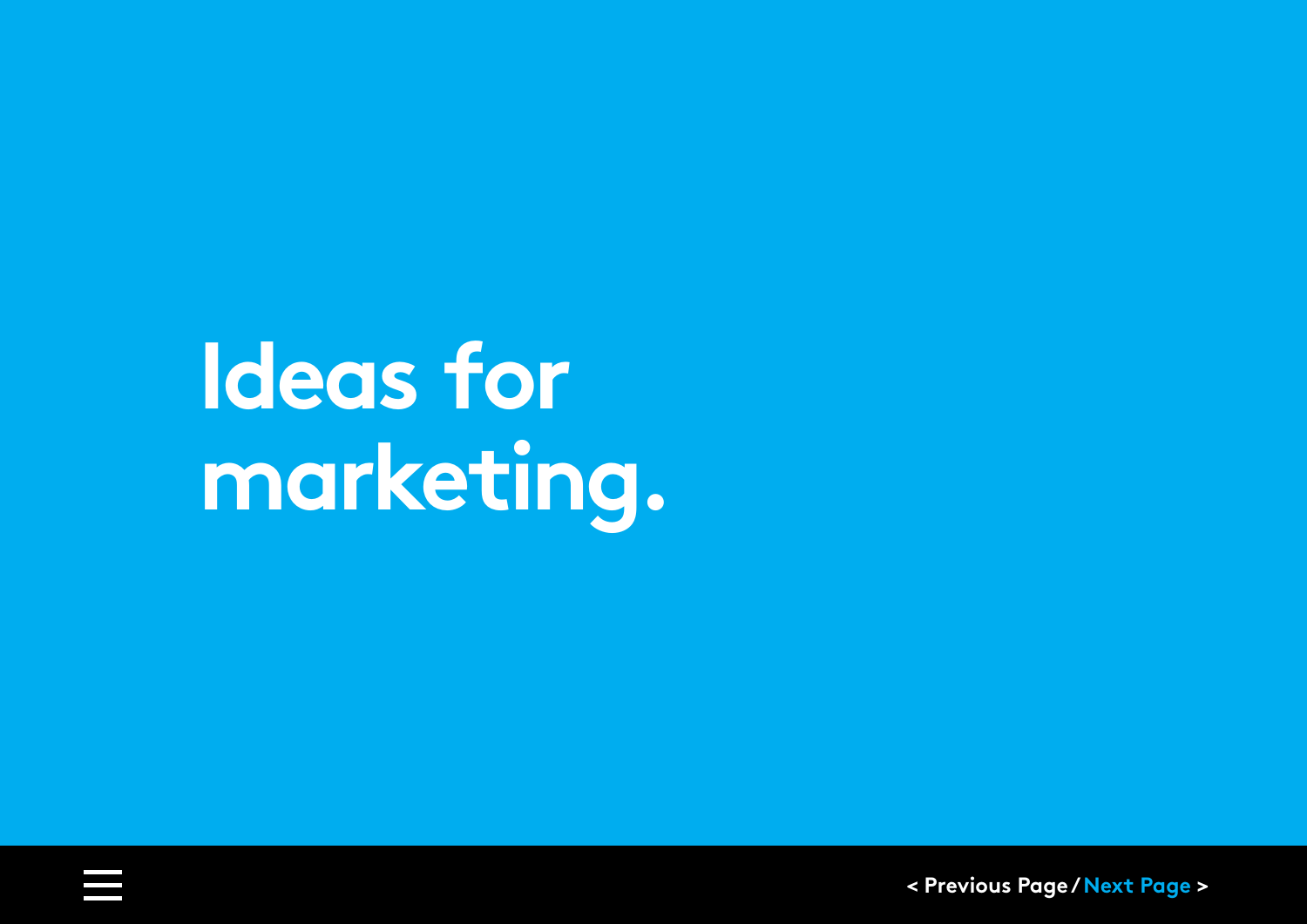<span id="page-39-0"></span>**Ideas for marketing.**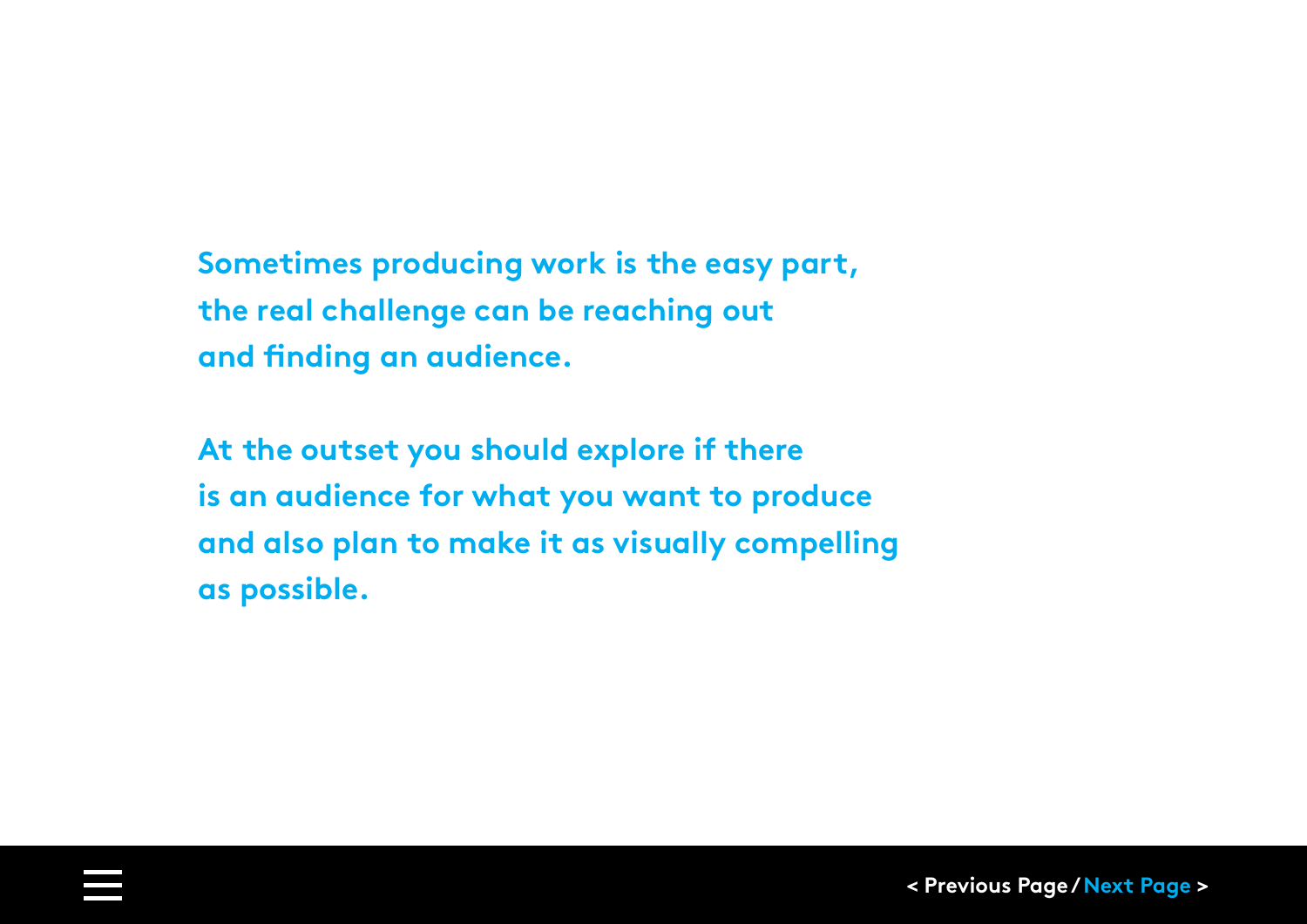**Sometimes producing work is the easy part, the real challenge can be reaching out and finding an audience.** 

**At the outset you should explore if there is an audience for what you want to produce and also plan to make it as visually compelling as possible.**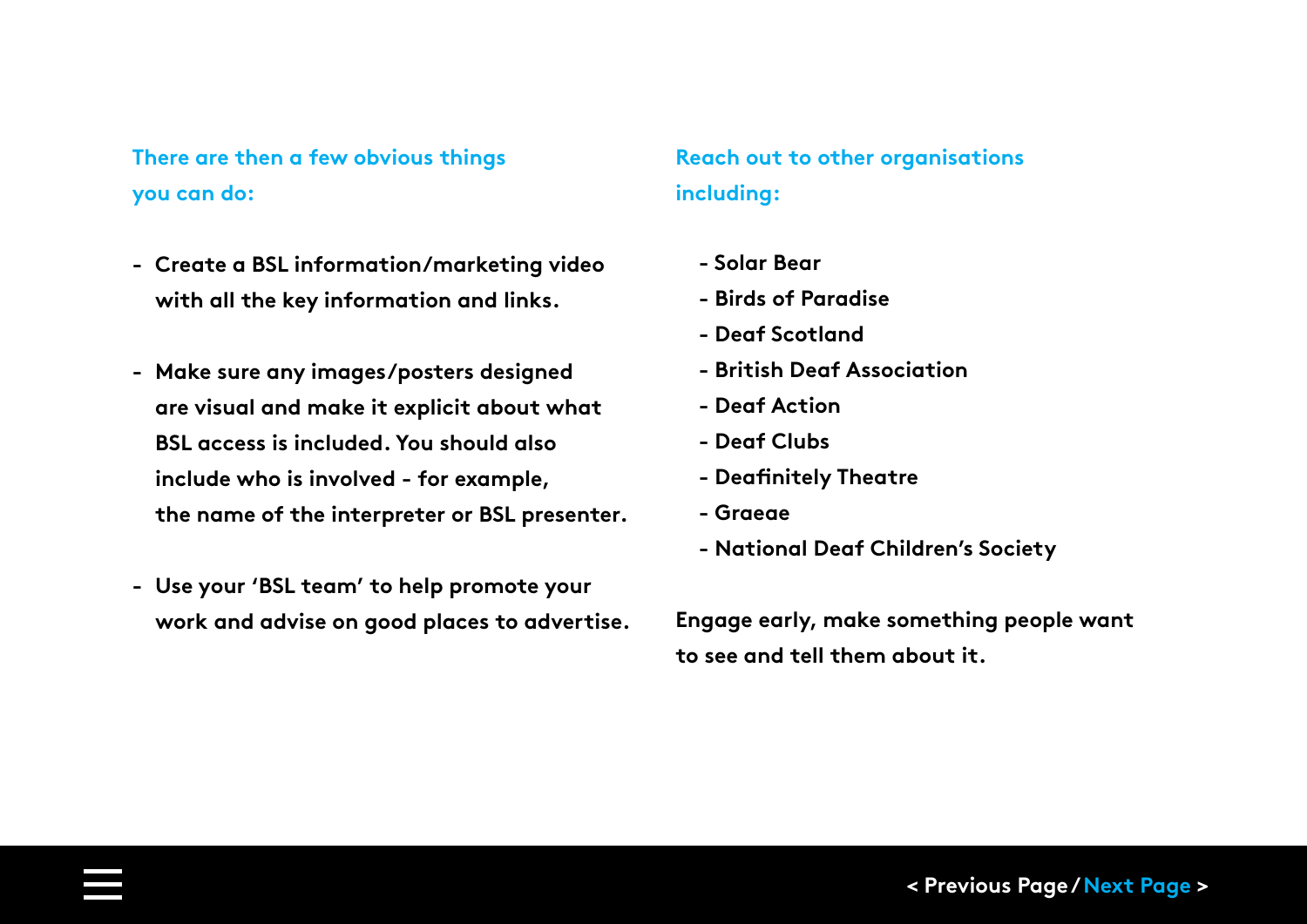<span id="page-41-0"></span>**There are then a few obvious things you can do:**

- **- Create a BSL information/marketing video with all the key information and links.**
- **- Make sure any images/posters designed are visual and make it explicit about what BSL access is included. You should also include who is involved - for example, the name of the interpreter or BSL presenter.**
- **- Use your 'BSL team' to help promote your work and advise on good places to advertise.**

### **Reach out to other organisations including:**

- **Solar Bear**
- **Birds of Paradise**
- **- Deaf Scotland**
- **British Deaf Association**
- **- Deaf Action**
- **Deaf Clubs**
- **- Deafinitely Theatre**
- **Graeae**
- **National Deaf Children's Society**

**Engage early, make something people want to see and tell them about it.**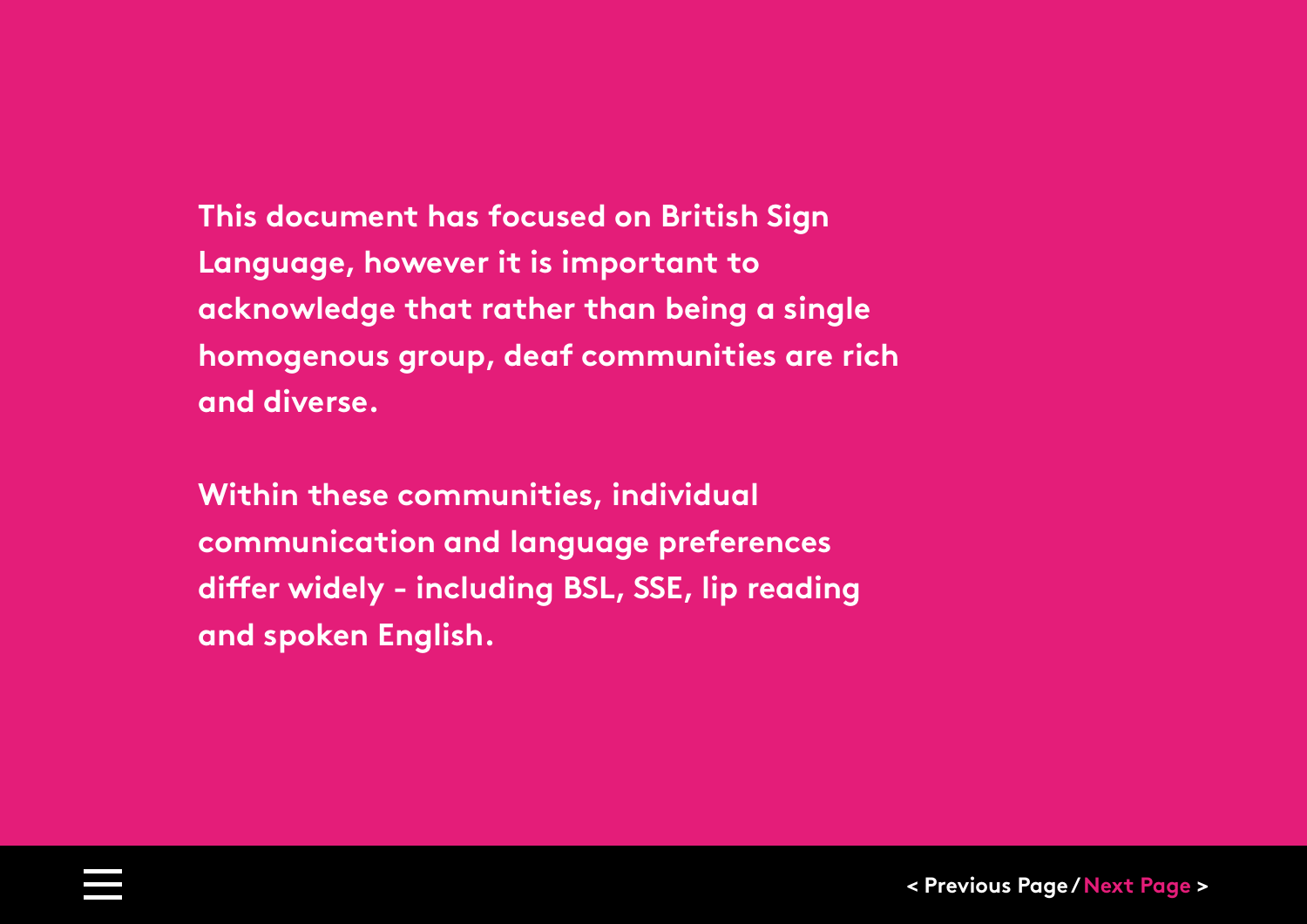**This document has focused on British Sign Language, however it is important to acknowledge that rather than being a single homogenous group, deaf communities are rich and diverse.** 

**Within these communities, individual communication and language preferences differ widely - including BSL, SSE, lip reading and spoken English.**